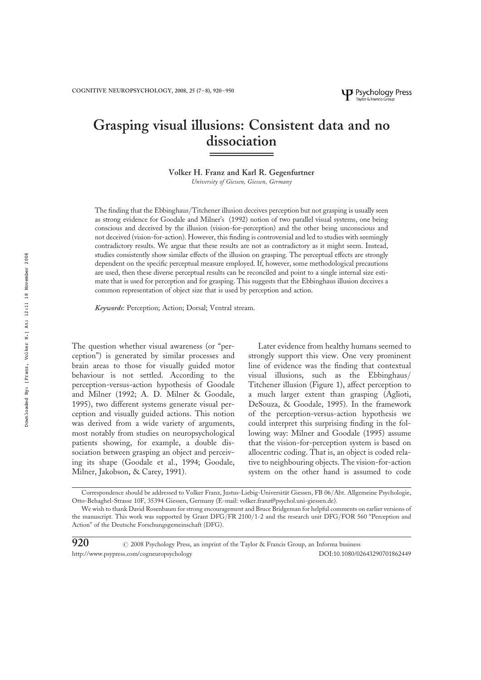# Grasping visual illusions: Consistent data and no dissociation

# Volker H. Franz and Karl R. Gegenfurtner

University of Giessen, Giessen, Germany

The finding that the Ebbinghaus/Titchener illusion deceives perception but not grasping is usually seen as strong evidence for Goodale and Milner's (1992) notion of two parallel visual systems, one being conscious and deceived by the illusion (vision-for-perception) and the other being unconscious and not deceived (vision-for-action). However, this finding is controversial and led to studies with seemingly contradictory results. We argue that these results are not as contradictory as it might seem. Instead, studies consistently show similar effects of the illusion on grasping. The perceptual effects are strongly dependent on the specific perceptual measure employed. If, however, some methodological precautions are used, then these diverse perceptual results can be reconciled and point to a single internal size estimate that is used for perception and for grasping. This suggests that the Ebbinghaus illusion deceives a common representation of object size that is used by perception and action.

Keywords: Perception; Action; Dorsal; Ventral stream.

The question whether visual awareness (or "perception") is generated by similar processes and brain areas to those for visually guided motor behaviour is not settled. According to the perception-versus-action hypothesis of Goodale and Milner (1992; A. D. Milner & Goodale, 1995), two different systems generate visual perception and visually guided actions. This notion was derived from a wide variety of arguments, most notably from studies on neuropsychological patients showing, for example, a double dissociation between grasping an object and perceiving its shape (Goodale et al., 1994; Goodale, Milner, Jakobson, & Carey, 1991).

Later evidence from healthy humans seemed to strongly support this view. One very prominent line of evidence was the finding that contextual visual illusions, such as the Ebbinghaus/ Titchener illusion (Figure 1), affect perception to a much larger extent than grasping (Aglioti, DeSouza, & Goodale, 1995). In the framework of the perception-versus-action hypothesis we could interpret this surprising finding in the following way: Milner and Goodale (1995) assume that the vision-for-perception system is based on allocentric coding. That is, an object is coded relative to neighbouring objects. The vision-for-action system on the other hand is assumed to code

Correspondence should be addressed to Volker Franz, Justus-Liebig-Universität Giessen, FB 06/Abt. Allgemeine Psychologie, Otto-Behaghel-Strasse 10F, 35394 Giessen, Germany (E-mail: volker.franz@psychol.uni-giessen.de).

We wish to thank David Rosenbaum for strong encouragement and Bruce Bridgeman for helpful comments on earlier versions of the manuscript. This work was supported by Grant DFG/FR 2100/1-2 and the research unit DFG/FOR 560 "Perception and Action" of the Deutsche Forschungsgemeinschaft (DFG).

<sup>920 &</sup>lt;sup>C</sup> 2008 Psychology Press, an imprint of the Taylor & Francis Group, an Informa business<br>http://www.nsygness.com/cogneuronsychology http://www.psypress.com/cogneuropsychology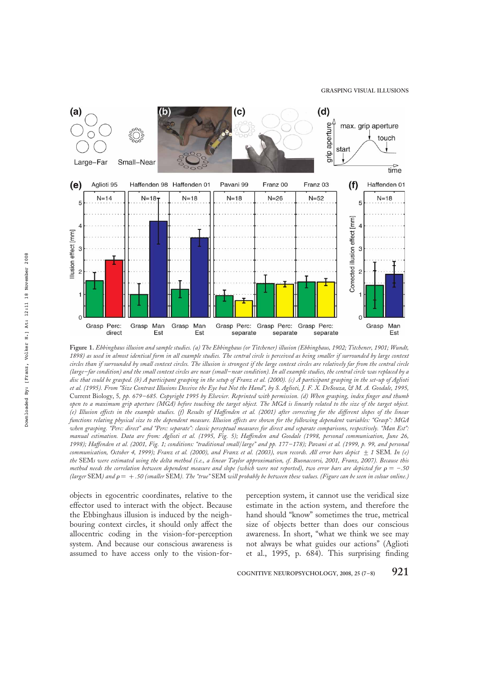

Figure 1. Ebbinghaus illusion and sample studies. (a) The Ebbinghaus (or Titchener) illusion (Ebbinghaus, 1902; Titchener, 1901; Wundt, 1898) as used in almost identical form in all example studies. The central circle is perceived as being smaller if surrounded by large context circles than if surrounded by small context circles. The illusion is strongest if the large context circles are relatively far from the central circle (large–far condition) and the small context circles are near (small–near condition). In all example studies, the central circle was replaced by a disc that could be grasped. (b) A participant grasping in the setup of Franz et al. (2000). (c) A participant grasping in the set-up of Aglioti et al. (1995). From "Size Contrast Illusions Deceive the Eye but Not the Hand", by S. Aglioti, J. F. X. DeSouza, & M. A. Goodale, 1995, Current Biology, 5, pp. 679–685. Copyright 1995 by Elsevier. Reprinted with permission. (d) When grasping, index finger and thumb open to a maximum grip aperture (MGA) before touching the target object. The MGA is linearly related to the size of the target object. (e) Illusion effects in the example studies. (f) Results of Haffenden et al. (2001) after correcting for the different slopes of the linear functions relating physical size to the dependent measure. Illusion effects are shown for the following dependent variables: "Grasp": MGA when grasping. "Perc: direct" and "Perc: separate": classic perceptual measures for direct and separate comparisons, respectively. "Man Est": manual estimation. Data are from: Aglioti et al. (1995, Fig. 5); Haffenden and Goodale (1998, personal communication, June 26, 1998); Haffenden et al. (2001, Fig. 1; conditions: "traditional small/large" and pp. 177–178); Pavani et al. (1999, p. 99, and personal communication, October 4, 1999); Franz et al. (2000), and Franz et al. (2003), own records. All error bars depict  $\pm$  1 SEM. In (e) the SEMs were estimated using the delta method (i.e., a linear Taylor approximation, cf. Buonaccorsi, 2001, Franz, 2007). Because this method needs the correlation between dependent measure and slope (which were not reported), two error bars are depicted for  $\rho = -.50$ (larger SEM) and  $\rho = +0.50$  (smaller SEM). The "true" SEM will probably be between these values. (Figure can be seen in colour online.)

objects in egocentric coordinates, relative to the effector used to interact with the object. Because the Ebbinghaus illusion is induced by the neighbouring context circles, it should only affect the allocentric coding in the vision-for-perception system. And because our conscious awareness is assumed to have access only to the vision-forperception system, it cannot use the veridical size estimate in the action system, and therefore the hand should "know" sometimes the true, metrical size of objects better than does our conscious awareness. In short, "what we think we see may not always be what guides our actions" (Aglioti et al., 1995, p. 684). This surprising finding

COGNITIVE NEUROPSYCHOLOGY, 2008, 25 (7–8)  $921$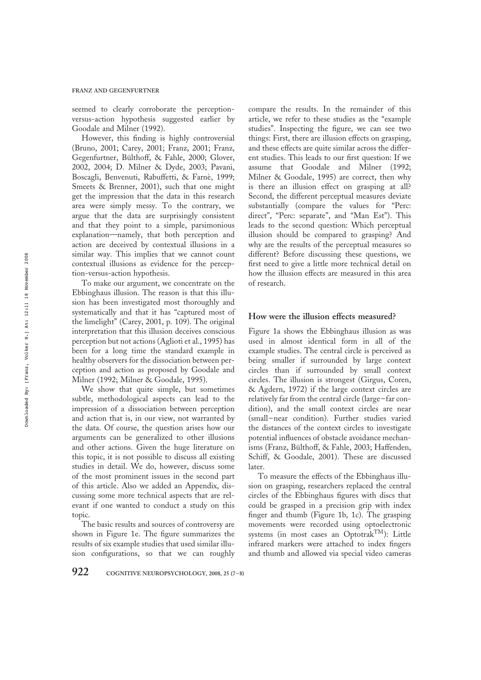#### FRANZ AND GEGENFURTNER

seemed to clearly corroborate the perceptionversus-action hypothesis suggested earlier by Goodale and Milner (1992).

However, this finding is highly controversial (Bruno, 2001; Carey, 2001; Franz, 2001; Franz, Gegenfurtner, Bülthoff, & Fahle, 2000; Glover, 2002, 2004; D. Milner & Dyde, 2003; Pavani, Boscagli, Benvenuti, Rabuffetti, & Farnè, 1999; Smeets & Brenner, 2001), such that one might get the impression that the data in this research area were simply messy. To the contrary, we argue that the data are surprisingly consistent and that they point to a simple, parsimonious explanation—namely, that both perception and action are deceived by contextual illusions in a similar way. This implies that we cannot count contextual illusions as evidence for the perception-versus-action hypothesis.

To make our argument, we concentrate on the Ebbinghaus illusion. The reason is that this illusion has been investigated most thoroughly and systematically and that it has "captured most of the limelight" (Carey, 2001, p. 109). The original interpretation that this illusion deceives conscious perception but not actions (Aglioti et al., 1995) has been for a long time the standard example in healthy observers for the dissociation between perception and action as proposed by Goodale and Milner (1992; Milner & Goodale, 1995).

We show that quite simple, but sometimes subtle, methodological aspects can lead to the impression of a dissociation between perception and action that is, in our view, not warranted by the data. Of course, the question arises how our arguments can be generalized to other illusions and other actions. Given the huge literature on this topic, it is not possible to discuss all existing studies in detail. We do, however, discuss some of the most prominent issues in the second part of this article. Also we added an Appendix, discussing some more technical aspects that are relevant if one wanted to conduct a study on this topic.

The basic results and sources of controversy are shown in Figure 1e. The figure summarizes the results of six example studies that used similar illusion configurations, so that we can roughly compare the results. In the remainder of this article, we refer to these studies as the "example studies". Inspecting the figure, we can see two things: First, there are illusion effects on grasping, and these effects are quite similar across the different studies. This leads to our first question: If we assume that Goodale and Milner (1992; Milner & Goodale, 1995) are correct, then why is there an illusion effect on grasping at all? Second, the different perceptual measures deviate substantially (compare the values for "Perc: direct", "Perc: separate", and "Man Est"). This leads to the second question: Which perceptual illusion should be compared to grasping? And why are the results of the perceptual measures so different? Before discussing these questions, we first need to give a little more technical detail on how the illusion effects are measured in this area of research.

#### How were the illusion effects measured?

Figure 1a shows the Ebbinghaus illusion as was used in almost identical form in all of the example studies. The central circle is perceived as being smaller if surrounded by large context circles than if surrounded by small context circles. The illusion is strongest (Girgus, Coren, & Agdern, 1972) if the large context circles are relatively far from the central circle (large–far condition), and the small context circles are near (small–near condition). Further studies varied the distances of the context circles to investigate potential influences of obstacle avoidance mechanisms (Franz, Bülthoff, & Fahle, 2003; Haffenden, Schiff, & Goodale, 2001). These are discussed later.

To measure the effects of the Ebbinghaus illusion on grasping, researchers replaced the central circles of the Ebbinghaus figures with discs that could be grasped in a precision grip with index finger and thumb (Figure 1b, 1c). The grasping movements were recorded using optoelectronic systems (in most cases an Optotrak<sup>TM</sup>): Little infrared markers were attached to index fingers and thumb and allowed via special video cameras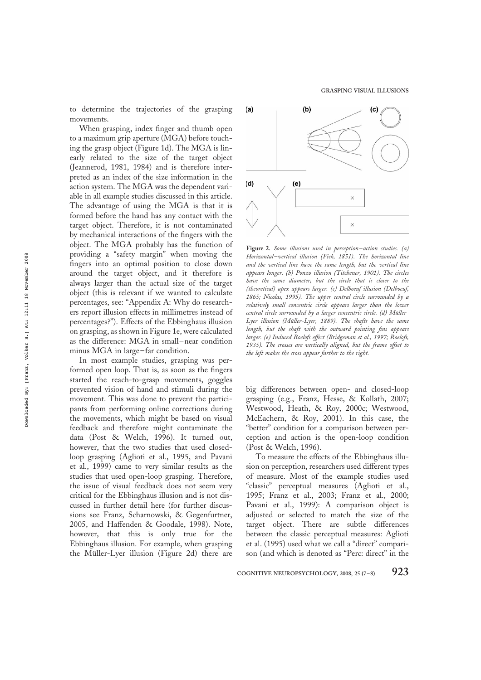to determine the trajectories of the grasping movements.

When grasping, index finger and thumb open to a maximum grip aperture (MGA) before touching the grasp object (Figure 1d). The MGA is linearly related to the size of the target object (Jeannerod, 1981, 1984) and is therefore interpreted as an index of the size information in the action system. The MGA was the dependent variable in all example studies discussed in this article. The advantage of using the MGA is that it is formed before the hand has any contact with the target object. Therefore, it is not contaminated by mechanical interactions of the fingers with the object. The MGA probably has the function of providing a "safety margin" when moving the fingers into an optimal position to close down around the target object, and it therefore is always larger than the actual size of the target object (this is relevant if we wanted to calculate percentages, see: "Appendix A: Why do researchers report illusion effects in millimetres instead of percentages?"). Effects of the Ebbinghaus illusion on grasping, as shown in Figure 1e, were calculated as the difference: MGA in small–near condition minus MGA in large–far condition.

In most example studies, grasping was performed open loop. That is, as soon as the fingers started the reach-to-grasp movements, goggles prevented vision of hand and stimuli during the movement. This was done to prevent the participants from performing online corrections during the movements, which might be based on visual feedback and therefore might contaminate the data (Post & Welch, 1996). It turned out, however, that the two studies that used closedloop grasping (Aglioti et al., 1995, and Pavani et al., 1999) came to very similar results as the studies that used open-loop grasping. Therefore, the issue of visual feedback does not seem very critical for the Ebbinghaus illusion and is not discussed in further detail here (for further discussions see Franz, Scharnowski, & Gegenfurtner, 2005, and Haffenden & Goodale, 1998). Note, however, that this is only true for the Ebbinghaus illusion. For example, when grasping the Müller-Lyer illusion (Figure 2d) there are

 $(b)$  $(a)$  $(c)$  $(d)$  $(e)$  $\times$ 

Figure 2. Some illusions used in perception–action studies. (a) Horizontal–vertical illusion (Fick, 1851). The horizontal line and the vertical line have the same length, but the vertical line appears longer. (b) Ponzo illusion (Titchener, 1901). The circles have the same diameter, but the circle that is closer to the (theoretical) apex appears larger. (c) Delboeuf illusion (Delboeuf, 1865; Nicolas, 1995). The upper central circle surrounded by a relatively small concentric circle appears larger than the lower central circle surrounded by a larger concentric circle. (d) Müller-Lyer illusion (Müller-Lyer, 1889). The shafts have the same length, but the shaft with the outward pointing fins appears larger. (e) Induced Roelofs effect (Bridgeman et al., 1997; Roelofs, 1935). The crosses are vertically aligned, but the frame offset to the left makes the cross appear farther to the right.

big differences between open- and closed-loop grasping (e.g., Franz, Hesse, & Kollath, 2007; Westwood, Heath, & Roy, 2000c; Westwood, McEachern, & Roy, 2001). In this case, the "better" condition for a comparison between perception and action is the open-loop condition (Post & Welch, 1996).

To measure the effects of the Ebbinghaus illusion on perception, researchers used different types of measure. Most of the example studies used "classic" perceptual measures (Aglioti et al., 1995; Franz et al., 2003; Franz et al., 2000; Pavani et al., 1999): A comparison object is adjusted or selected to match the size of the target object. There are subtle differences between the classic perceptual measures: Aglioti et al. (1995) used what we call a "direct" comparison (and which is denoted as "Perc: direct" in the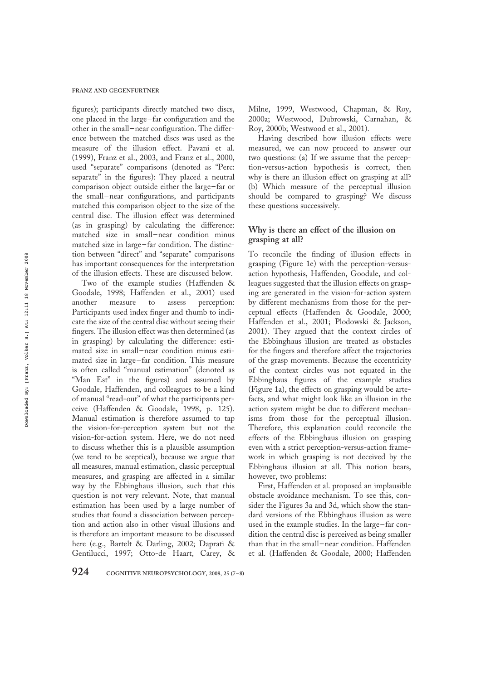figures); participants directly matched two discs, one placed in the large–far configuration and the other in the small–near configuration. The difference between the matched discs was used as the measure of the illusion effect. Pavani et al. (1999), Franz et al., 2003, and Franz et al., 2000, used "separate" comparisons (denoted as "Perc: separate" in the figures): They placed a neutral comparison object outside either the large–far or the small–near configurations, and participants matched this comparison object to the size of the central disc. The illusion effect was determined (as in grasping) by calculating the difference: matched size in small–near condition minus matched size in large–far condition. The distinction between "direct" and "separate" comparisons has important consequences for the interpretation of the illusion effects. These are discussed below.

Two of the example studies (Haffenden & Goodale, 1998; Haffenden et al., 2001) used another measure to assess perception: Participants used index finger and thumb to indicate the size of the central disc without seeing their fingers. The illusion effect was then determined (as in grasping) by calculating the difference: estimated size in small–near condition minus estimated size in large–far condition. This measure is often called "manual estimation" (denoted as "Man Est" in the figures) and assumed by Goodale, Haffenden, and colleagues to be a kind of manual "read-out" of what the participants perceive (Haffenden & Goodale, 1998, p. 125). Manual estimation is therefore assumed to tap the vision-for-perception system but not the vision-for-action system. Here, we do not need to discuss whether this is a plausible assumption (we tend to be sceptical), because we argue that all measures, manual estimation, classic perceptual measures, and grasping are affected in a similar way by the Ebbinghaus illusion, such that this question is not very relevant. Note, that manual estimation has been used by a large number of studies that found a dissociation between perception and action also in other visual illusions and is therefore an important measure to be discussed here (e.g., Bartelt & Darling, 2002; Daprati & Gentilucci, 1997; Otto-de Haart, Carey, &

Milne, 1999, Westwood, Chapman, & Roy, 2000a; Westwood, Dubrowski, Carnahan, & Roy, 2000b; Westwood et al., 2001).

Having described how illusion effects were measured, we can now proceed to answer our two questions: (a) If we assume that the perception-versus-action hypothesis is correct, then why is there an illusion effect on grasping at all? (b) Which measure of the perceptual illusion should be compared to grasping? We discuss these questions successively.

# Why is there an effect of the illusion on grasping at all?

To reconcile the finding of illusion effects in grasping (Figure 1e) with the perception-versusaction hypothesis, Haffenden, Goodale, and colleagues suggested that the illusion effects on grasping are generated in the vision-for-action system by different mechanisms from those for the perceptual effects (Haffenden & Goodale, 2000; Haffenden et al., 2001; Plodowski & Jackson, 2001). They argued that the context circles of the Ebbinghaus illusion are treated as obstacles for the fingers and therefore affect the trajectories of the grasp movements. Because the eccentricity of the context circles was not equated in the Ebbinghaus figures of the example studies (Figure 1a), the effects on grasping would be artefacts, and what might look like an illusion in the action system might be due to different mechanisms from those for the perceptual illusion. Therefore, this explanation could reconcile the effects of the Ebbinghaus illusion on grasping even with a strict perception-versus-action framework in which grasping is not deceived by the Ebbinghaus illusion at all. This notion bears, however, two problems:

First, Haffenden et al. proposed an implausible obstacle avoidance mechanism. To see this, consider the Figures 3a and 3d, which show the standard versions of the Ebbinghaus illusion as were used in the example studies. In the large–far condition the central disc is perceived as being smaller than that in the small–near condition. Haffenden et al. (Haffenden & Goodale, 2000; Haffenden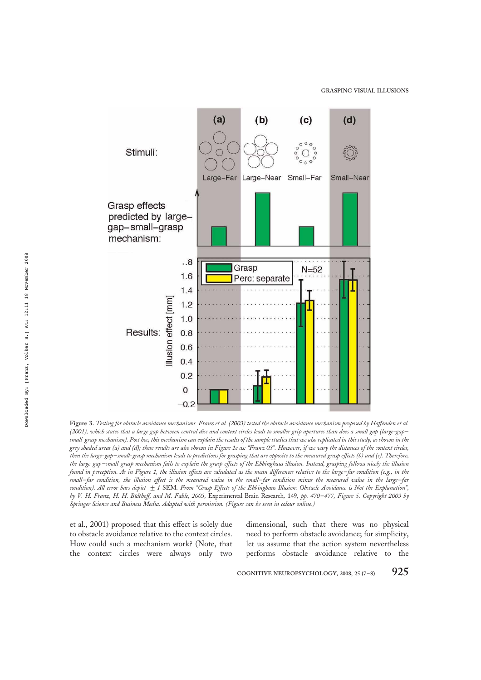

Figure 3. Testing for obstacle avoidance mechanisms. Franz et al. (2003) tested the obstacle avoidance mechanism proposed by Haffenden et al. (2001), which states that a large gap between central disc and context circles leads to smaller grip apertures than does a small gap (large-gap– small-grasp mechanism). Post hoc, this mechanism can explain the resultsof the sample studies that we alsoreplicated in this study, as shown in the grey shaded areas (a) and (d); these results are also shown in Figure 1e as: "Franz 03". However, if we vary the distances of the context circles, then the large-gap–small-grasp mechanism leads to predictions for grasping that are opposite to the measured grasp effects (b) and (c). Therefore, the large-gap–small-grasp mechanism fails to explain the grasp effects of the Ebbinghaus illusion. Instead, grasping follows nicely the illusion found in perception. As in Figure 1, the illusion effects are calculated as the mean differences relative to the large–far condition (e.g., in the small–far condition, the illusion effect is the measured value in the small–far condition minus the measured value in the large–far condition). All error bars depict  $\pm 1$  SEM. From "Grasp Effects of the Ebbinghaus Illusion: Obstacle-Avoidance is Not the Explanation", by V. H. Franz, H. H. Bülthoff, and M. Fahle, 2003, Experimental Brain Research, 149, pp. 470–477, Figure 5. Copyright 2003 by Springer Science and Business Media. Adapted with permission. (Figure can be seen in colour online.)

et al., 2001) proposed that this effect is solely due to obstacle avoidance relative to the context circles. How could such a mechanism work? (Note, that the context circles were always only two

dimensional, such that there was no physical need to perform obstacle avoidance; for simplicity, let us assume that the action system nevertheless performs obstacle avoidance relative to the

COGNITIVE NEUROPSYCHOLOGY, 2008, 25  $(7-8)$  925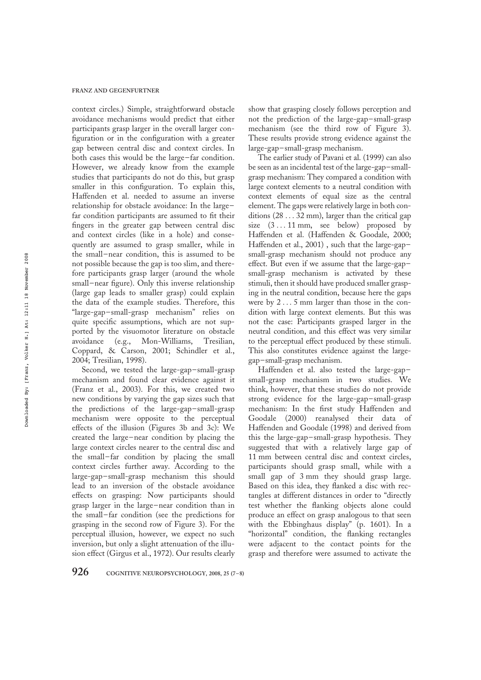context circles.) Simple, straightforward obstacle avoidance mechanisms would predict that either participants grasp larger in the overall larger configuration or in the configuration with a greater gap between central disc and context circles. In both cases this would be the large–far condition. However, we already know from the example studies that participants do not do this, but grasp smaller in this configuration. To explain this, Haffenden et al. needed to assume an inverse relationship for obstacle avoidance: In the large– far condition participants are assumed to fit their fingers in the greater gap between central disc and context circles (like in a hole) and consequently are assumed to grasp smaller, while in the small–near condition, this is assumed to be not possible because the gap is too slim, and therefore participants grasp larger (around the whole small–near figure). Only this inverse relationship (large gap leads to smaller grasp) could explain the data of the example studies. Therefore, this "large-gap–small-grasp mechanism" relies on quite specific assumptions, which are not supported by the visuomotor literature on obstacle avoidance (e.g., Mon-Williams, Tresilian, avoidance (e.g., Mon-Williams, Tresilian, Coppard, & Carson, 2001; Schindler et al., 2004; Tresilian, 1998).

Second, we tested the large-gap–small-grasp mechanism and found clear evidence against it (Franz et al., 2003). For this, we created two new conditions by varying the gap sizes such that the predictions of the large-gap–small-grasp mechanism were opposite to the perceptual effects of the illusion (Figures 3b and 3c): We created the large–near condition by placing the large context circles nearer to the central disc and the small–far condition by placing the small context circles further away. According to the large-gap–small-grasp mechanism this should lead to an inversion of the obstacle avoidance effects on grasping: Now participants should grasp larger in the large–near condition than in the small–far condition (see the predictions for grasping in the second row of Figure 3). For the perceptual illusion, however, we expect no such inversion, but only a slight attenuation of the illusion effect (Girgus et al., 1972). Our results clearly

show that grasping closely follows perception and not the prediction of the large-gap–small-grasp mechanism (see the third row of Figure 3). These results provide strong evidence against the large-gap–small-grasp mechanism.

The earlier study of Pavani et al. (1999) can also be seen as an incidental test of the large-gap–smallgrasp mechanism: They compared a condition with large context elements to a neutral condition with context elements of equal size as the central element. The gaps were relatively large in both conditions (28 . . . 32 mm), larger than the critical gap size  $(3 \dots 11 \text{ mm})$ , see below) proposed by Haffenden et al. (Haffenden & Goodale, 2000; Haffenden et al., 2001) , such that the large-gap– small-grasp mechanism should not produce any effect. But even if we assume that the large-gap– small-grasp mechanism is activated by these stimuli, then it should have produced smaller grasping in the neutral condition, because here the gaps were by 2 . . . 5 mm larger than those in the condition with large context elements. But this was not the case: Participants grasped larger in the neutral condition, and this effect was very similar to the perceptual effect produced by these stimuli. This also constitutes evidence against the largegap–small-grasp mechanism.

Haffenden et al. also tested the large-gap– small-grasp mechanism in two studies. We think, however, that these studies do not provide strong evidence for the large-gap–small-grasp mechanism: In the first study Haffenden and Goodale (2000) reanalysed their data of Haffenden and Goodale (1998) and derived from this the large-gap–small-grasp hypothesis. They suggested that with a relatively large gap of 11 mm between central disc and context circles, participants should grasp small, while with a small gap of 3 mm they should grasp large. Based on this idea, they flanked a disc with rectangles at different distances in order to "directly test whether the flanking objects alone could produce an effect on grasp analogous to that seen with the Ebbinghaus display" (p. 1601). In a "horizontal" condition, the flanking rectangles were adjacent to the contact points for the grasp and therefore were assumed to activate the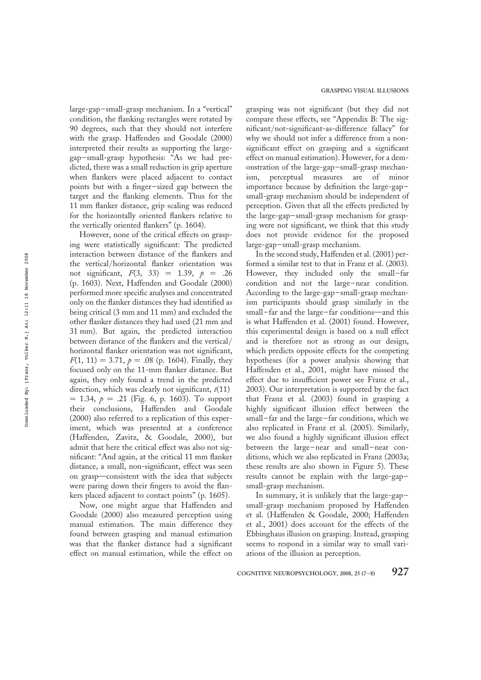large-gap–small-grasp mechanism. In a "vertical" condition, the flanking rectangles were rotated by 90 degrees, such that they should not interfere with the grasp. Haffenden and Goodale (2000) interpreted their results as supporting the largegap–small-grasp hypothesis: "As we had predicted, there was a small reduction in grip aperture when flankers were placed adjacent to contact points but with a finger–sized gap between the target and the flanking elements. Thus for the 11 mm flanker distance, grip scaling was reduced for the horizontally oriented flankers relative to the vertically oriented flankers" (p. 1604).

However, none of the critical effects on grasping were statistically significant: The predicted interaction between distance of the flankers and the vertical/horizontal flanker orientation was not significant,  $F(3, 33) = 1.39, p = .26$ (p. 1603). Next, Haffenden and Goodale (2000) performed more specific analyses and concentrated only on the flanker distances they had identified as being critical (3 mm and 11 mm) and excluded the other flanker distances they had used (21 mm and 31 mm). But again, the predicted interaction between distance of the flankers and the vertical/ horizontal flanker orientation was not significant,  $F(1, 11) = 3.71, p = .08$  (p. 1604). Finally, they focused only on the 11-mm flanker distance. But again, they only found a trend in the predicted direction, which was clearly not significant,  $t(11)$  $= 1.34, p = .21$  (Fig. 6, p. 1603). To support their conclusions, Haffenden and Goodale (2000) also referred to a replication of this experiment, which was presented at a conference (Haffenden, Zavitz, & Goodale, 2000), but admit that here the critical effect was also not significant: "And again, at the critical 11 mm flanker distance, a small, non-significant, effect was seen on grasp—consistent with the idea that subjects were paring down their fingers to avoid the flankers placed adjacent to contact points" (p. 1605).

Now, one might argue that Haffenden and Goodale (2000) also measured perception using manual estimation. The main difference they found between grasping and manual estimation was that the flanker distance had a significant effect on manual estimation, while the effect on

grasping was not significant (but they did not compare these effects, see "Appendix B: The significant/not-significant-as-difference fallacy" for why we should not infer a difference from a nonsignificant effect on grasping and a significant effect on manual estimation). However, for a demonstration of the large-gap–small-grasp mechanism, perceptual measures are of minor importance because by definition the large-gap– small-grasp mechanism should be independent of perception. Given that all the effects predicted by the large-gap–small-grasp mechanism for grasping were not significant, we think that this study does not provide evidence for the proposed large-gap–small-grasp mechanism.

In the second study, Haffenden et al. (2001) performed a similar test to that in Franz et al. (2003). However, they included only the small–far condition and not the large–near condition. According to the large-gap–small-grasp mechanism participants should grasp similarly in the small–far and the large–far conditions—and this is what Haffenden et al. (2001) found. However, this experimental design is based on a null effect and is therefore not as strong as our design, which predicts opposite effects for the competing hypotheses (for a power analysis showing that Haffenden et al., 2001, might have missed the effect due to insufficient power see Franz et al., 2003). Our interpretation is supported by the fact that Franz et al. (2003) found in grasping a highly significant illusion effect between the small–far and the large–far conditions, which we also replicated in Franz et al. (2005). Similarly, we also found a highly significant illusion effect between the large–near and small–near conditions, which we also replicated in Franz (2003a; these results are also shown in Figure 5). These results cannot be explain with the large-gap– small-grasp mechanism.

In summary, it is unlikely that the large-gap– small-grasp mechanism proposed by Haffenden et al. (Haffenden & Goodale, 2000; Haffenden et al., 2001) does account for the effects of the Ebbinghaus illusion on grasping. Instead, grasping seems to respond in a similar way to small variations of the illusion as perception.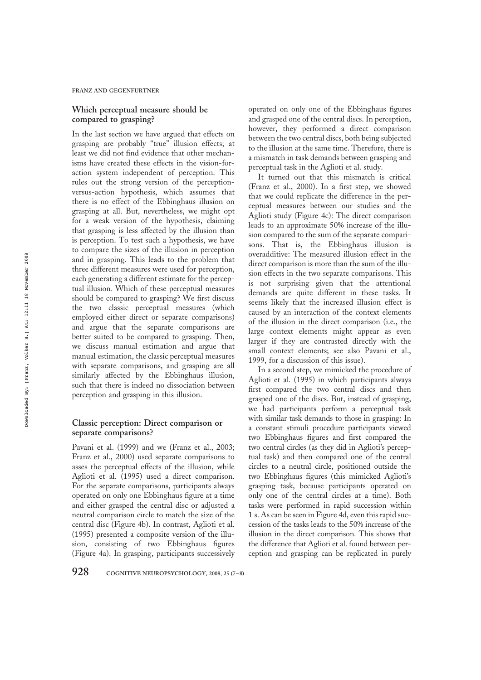## Which perceptual measure should be compared to grasping?

In the last section we have argued that effects on grasping are probably "true" illusion effects; at least we did not find evidence that other mechanisms have created these effects in the vision-foraction system independent of perception. This rules out the strong version of the perceptionversus-action hypothesis, which assumes that there is no effect of the Ebbinghaus illusion on grasping at all. But, nevertheless, we might opt for a weak version of the hypothesis, claiming that grasping is less affected by the illusion than is perception. To test such a hypothesis, we have to compare the sizes of the illusion in perception and in grasping. This leads to the problem that three different measures were used for perception, each generating a different estimate for the perceptual illusion. Which of these perceptual measures should be compared to grasping? We first discuss the two classic perceptual measures (which employed either direct or separate comparisons) and argue that the separate comparisons are better suited to be compared to grasping. Then, we discuss manual estimation and argue that manual estimation, the classic perceptual measures with separate comparisons, and grasping are all similarly affected by the Ebbinghaus illusion, such that there is indeed no dissociation between perception and grasping in this illusion.

## Classic perception: Direct comparison or separate comparisons?

Pavani et al. (1999) and we (Franz et al., 2003; Franz et al., 2000) used separate comparisons to asses the perceptual effects of the illusion, while Aglioti et al. (1995) used a direct comparison. For the separate comparisons, participants always operated on only one Ebbinghaus figure at a time and either grasped the central disc or adjusted a neutral comparison circle to match the size of the central disc (Figure 4b). In contrast, Aglioti et al. (1995) presented a composite version of the illusion, consisting of two Ebbinghaus figures (Figure 4a). In grasping, participants successively

operated on only one of the Ebbinghaus figures and grasped one of the central discs. In perception, however, they performed a direct comparison between the two central discs, both being subjected to the illusion at the same time. Therefore, there is a mismatch in task demands between grasping and perceptual task in the Aglioti et al. study.

It turned out that this mismatch is critical (Franz et al., 2000). In a first step, we showed that we could replicate the difference in the perceptual measures between our studies and the Aglioti study (Figure 4c): The direct comparison leads to an approximate 50% increase of the illusion compared to the sum of the separate comparisons. That is, the Ebbinghaus illusion is overadditive: The measured illusion effect in the direct comparison is more than the sum of the illusion effects in the two separate comparisons. This is not surprising given that the attentional demands are quite different in these tasks. It seems likely that the increased illusion effect is caused by an interaction of the context elements of the illusion in the direct comparison (i.e., the large context elements might appear as even larger if they are contrasted directly with the small context elements; see also Pavani et al., 1999, for a discussion of this issue).

In a second step, we mimicked the procedure of Aglioti et al. (1995) in which participants always first compared the two central discs and then grasped one of the discs. But, instead of grasping, we had participants perform a perceptual task with similar task demands to those in grasping: In a constant stimuli procedure participants viewed two Ebbinghaus figures and first compared the two central circles (as they did in Aglioti's perceptual task) and then compared one of the central circles to a neutral circle, positioned outside the two Ebbinghaus figures (this mimicked Aglioti's grasping task, because participants operated on only one of the central circles at a time). Both tasks were performed in rapid succession within 1 s. As can be seen in Figure 4d, even this rapid succession of the tasks leads to the 50% increase of the illusion in the direct comparison. This shows that the difference that Aglioti et al. found between perception and grasping can be replicated in purely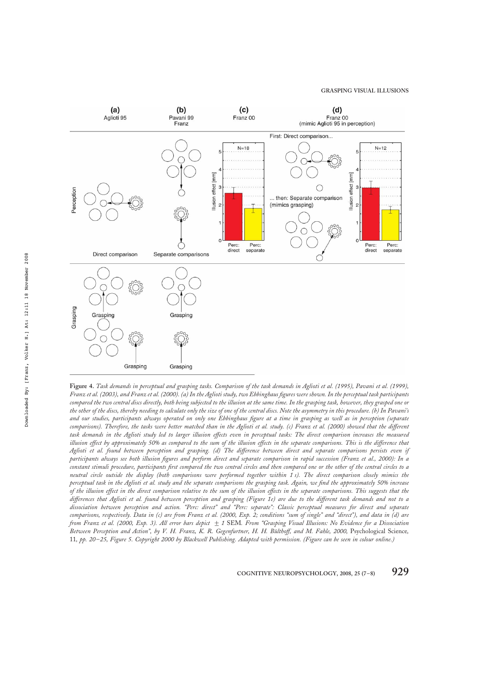

Figure 4. Task demands in perceptual and grasping tasks. Comparison of the task demands in Aglioti et al. (1995), Pavani et al. (1999), Franz et al. (2003), and Franz et al. (2000). (a) In the Aglioti study, two Ebbinghaus figures were shown. In the perceptual task participants compared the two central discs directly, both being subjected to the illusion at the same time. In the grasping task, however, they grasped one or the other of the discs, thereby needing to calculate only the size of one of the central discs. Note the asymmetry in this procedure. (b) In Pavani's and our studies, participants always operated on only one Ebbinghaus figure at a time in grasping as well as in perception (separate comparisons). Therefore, the tasks were better matched than in the Aglioti et al. study. (c) Franz et al. (2000) showed that the different task demands in the Aglioti study led to larger illusion effects even in perceptual tasks: The direct comparison increases the measured illusion effect by approximately 50% as compared to the sum of the illusion effects in the separate comparisons. This is the difference that Aglioti et al. found between perception and grasping. (d) The difference between direct and separate comparisons persists even if participants always see both illusion figures and perform direct and separate comparison in rapid succession (Franz et al., 2000): In a constant stimuli procedure, participants first compared the two central circles and then compared one or the other of the central circles to a neutral circle outside the display (both comparisons were performed together within 1 s). The direct comparison closely mimics the perceptual task in the Aglioti et al. study and the separate comparisons the grasping task. Again, we find the approximately 50% increase of the illusion effect in the direct comparison relative to the sum of the illusion effects in the separate comparisons. This suggests that the differences that Aglioti et al. found between perception and grasping (Figure 1e) are due to the different task demands and not to a dissociation between perception and action. "Perc: direct" and "Perc: separate": Classic perceptual measures for direct and separate comparisons, respectively. Data in (c) are from Franz et al. (2000, Exp. 2; conditions "sum of single" and "direct"), and data in (d) are from Franz et al. (2000, Exp. 3). All error bars depict  $\pm$  1 SEM. From "Grasping Visual Illusions: No Evidence for a Dissociation Between Perception and Action", by V. H. Franz, K. R. Gegenfurtner, H. H. Bülthoff, and M. Fahle, 2000, Psychological Science, 11, pp. 20–25, Figure 5. Copyright 2000 by Blackwell Publishing. Adapted with permission. (Figure can be seen in colour online.)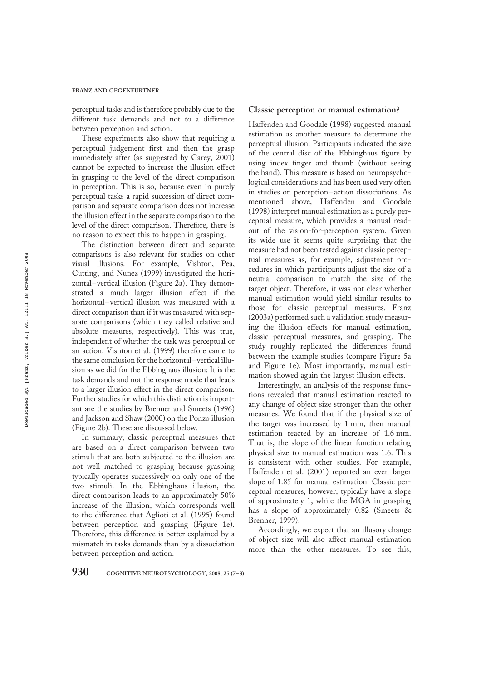perceptual tasks and is therefore probably due to the different task demands and not to a difference between perception and action.

These experiments also show that requiring a perceptual judgement first and then the grasp immediately after (as suggested by Carey, 2001) cannot be expected to increase the illusion effect in grasping to the level of the direct comparison in perception. This is so, because even in purely perceptual tasks a rapid succession of direct comparison and separate comparison does not increase the illusion effect in the separate comparison to the level of the direct comparison. Therefore, there is no reason to expect this to happen in grasping.

The distinction between direct and separate comparisons is also relevant for studies on other visual illusions. For example, Vishton, Pea, Cutting, and Nunez (1999) investigated the horizontal–vertical illusion (Figure 2a). They demonstrated a much larger illusion effect if the horizontal–vertical illusion was measured with a direct comparison than if it was measured with separate comparisons (which they called relative and absolute measures, respectively). This was true, independent of whether the task was perceptual or an action. Vishton et al. (1999) therefore came to the same conclusion for the horizontal–vertical illusion as we did for the Ebbinghaus illusion: It is the task demands and not the response mode that leads to a larger illusion effect in the direct comparison. Further studies for which this distinction is important are the studies by Brenner and Smeets (1996) and Jackson and Shaw (2000) on the Ponzo illusion (Figure 2b). These are discussed below.

In summary, classic perceptual measures that are based on a direct comparison between two stimuli that are both subjected to the illusion are not well matched to grasping because grasping typically operates successively on only one of the two stimuli. In the Ebbinghaus illusion, the direct comparison leads to an approximately 50% increase of the illusion, which corresponds well to the difference that Aglioti et al. (1995) found between perception and grasping (Figure 1e). Therefore, this difference is better explained by a mismatch in tasks demands than by a dissociation between perception and action.

## Classic perception or manual estimation?

Haffenden and Goodale (1998) suggested manual estimation as another measure to determine the perceptual illusion: Participants indicated the size of the central disc of the Ebbinghaus figure by using index finger and thumb (without seeing the hand). This measure is based on neuropsychological considerations and has been used very often in studies on perception–action dissociations. As mentioned above, Haffenden and Goodale (1998) interpret manual estimation as a purely perceptual measure, which provides a manual readout of the vision-for-perception system. Given its wide use it seems quite surprising that the measure had not been tested against classic perceptual measures as, for example, adjustment procedures in which participants adjust the size of a neutral comparison to match the size of the target object. Therefore, it was not clear whether manual estimation would yield similar results to those for classic perceptual measures. Franz (2003a) performed such a validation study measuring the illusion effects for manual estimation, classic perceptual measures, and grasping. The study roughly replicated the differences found between the example studies (compare Figure 5a and Figure 1e). Most importantly, manual estimation showed again the largest illusion effects.

Interestingly, an analysis of the response functions revealed that manual estimation reacted to any change of object size stronger than the other measures. We found that if the physical size of the target was increased by 1 mm, then manual estimation reacted by an increase of 1.6 mm. That is, the slope of the linear function relating physical size to manual estimation was 1.6. This is consistent with other studies. For example, Haffenden et al. (2001) reported an even larger slope of 1.85 for manual estimation. Classic perceptual measures, however, typically have a slope of approximately 1, while the MGA in grasping has a slope of approximately 0.82 (Smeets & Brenner, 1999).

Accordingly, we expect that an illusory change of object size will also affect manual estimation more than the other measures. To see this,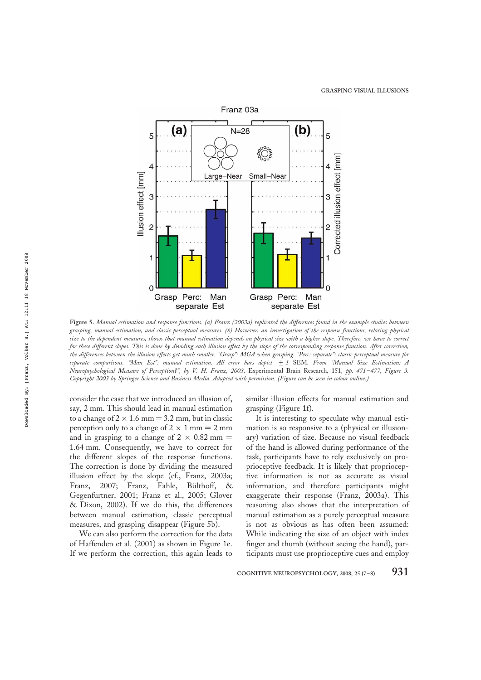

Figure 5. Manual estimation and response functions. (a) Franz (2003a) replicated the differences found in the example studies between grasping, manual estimation, and classic perceptual measures. (b) However, an investigation of the response functions, relating physical size to the dependent measures, shows that manual estimation depends on physical size with a higher slope. Therefore, we have to correct for these different slopes. This is done by dividing each illusion effect by the slope of the corresponding response function. After correction, the differences between the illusion effects get much smaller. "Grasp": MGA when grasping. "Perc: separate": classic perceptual measure for separate comparisons. "Man Est": manual estimation. All error bars depict  $\pm 1$  SEM. From "Manual Size Estimation: A Neuropsychological Measure of Perception?", by V. H. Franz, 2003, Experimental Brain Research, 151, pp. 471–477, Figure 3. Copyright 2003 by Springer Science and Business Media. Adapted with permission. (Figure can be seen in colour online.)

consider the case that we introduced an illusion of, say, 2 mm. This should lead in manual estimation to a change of  $2 \times 1.6$  mm = 3.2 mm, but in classic perception only to a change of  $2 \times 1$  mm = 2 mm and in grasping to a change of  $2 \times 0.82$  mm = 1.64 mm. Consequently, we have to correct for the different slopes of the response functions. The correction is done by dividing the measured illusion effect by the slope (cf., Franz, 2003a; Franz, 2007; Franz, Fahle, Bülthoff, & Gegenfurtner, 2001; Franz et al., 2005; Glover & Dixon, 2002). If we do this, the differences between manual estimation, classic perceptual measures, and grasping disappear (Figure 5b).

We can also perform the correction for the data of Haffenden et al. (2001) as shown in Figure 1e. If we perform the correction, this again leads to

similar illusion effects for manual estimation and grasping (Figure 1f).

It is interesting to speculate why manual estimation is so responsive to a (physical or illusionary) variation of size. Because no visual feedback of the hand is allowed during performance of the task, participants have to rely exclusively on proprioceptive feedback. It is likely that proprioceptive information is not as accurate as visual information, and therefore participants might exaggerate their response (Franz, 2003a). This reasoning also shows that the interpretation of manual estimation as a purely perceptual measure is not as obvious as has often been assumed: While indicating the size of an object with index finger and thumb (without seeing the hand), participants must use proprioceptive cues and employ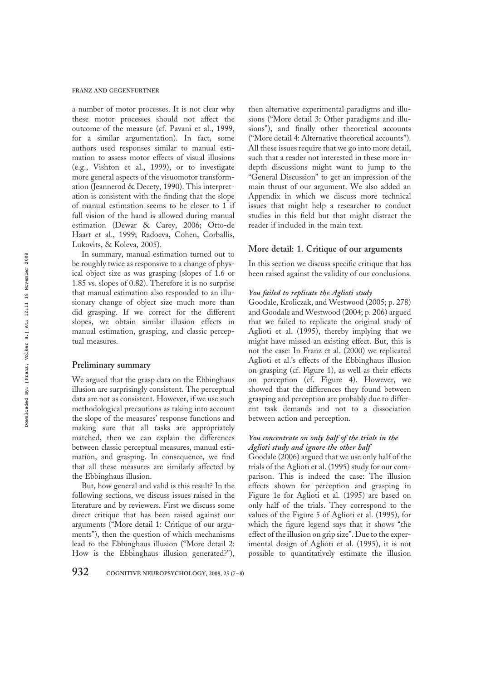a number of motor processes. It is not clear why these motor processes should not affect the outcome of the measure (cf. Pavani et al., 1999, for a similar argumentation). In fact, some authors used responses similar to manual estimation to assess motor effects of visual illusions (e.g., Vishton et al., 1999), or to investigate more general aspects of the visuomotor transformation (Jeannerod & Decety, 1990). This interpretation is consistent with the finding that the slope of manual estimation seems to be closer to 1 if full vision of the hand is allowed during manual estimation (Dewar & Carey, 2006; Otto-de Haart et al., 1999; Radoeva, Cohen, Corballis, Lukovits, & Koleva, 2005).

In summary, manual estimation turned out to be roughly twice as responsive to a change of physical object size as was grasping (slopes of 1.6 or 1.85 vs. slopes of 0.82). Therefore it is no surprise that manual estimation also responded to an illusionary change of object size much more than did grasping. If we correct for the different slopes, we obtain similar illusion effects in manual estimation, grasping, and classic perceptual measures.

#### Preliminary summary

We argued that the grasp data on the Ebbinghaus illusion are surprisingly consistent. The perceptual data are not as consistent. However, if we use such methodological precautions as taking into account the slope of the measures' response functions and making sure that all tasks are appropriately matched, then we can explain the differences between classic perceptual measures, manual estimation, and grasping. In consequence, we find that all these measures are similarly affected by the Ebbinghaus illusion.

But, how general and valid is this result? In the following sections, we discuss issues raised in the literature and by reviewers. First we discuss some direct critique that has been raised against our arguments ("More detail 1: Critique of our arguments"), then the question of which mechanisms lead to the Ebbinghaus illusion ("More detail 2: How is the Ebbinghaus illusion generated?"), then alternative experimental paradigms and illusions ("More detail 3: Other paradigms and illusions"), and finally other theoretical accounts ("More detail 4: Alternative theoretical accounts"). All these issues require that we go into more detail, such that a reader not interested in these more indepth discussions might want to jump to the "General Discussion" to get an impression of the main thrust of our argument. We also added an Appendix in which we discuss more technical issues that might help a researcher to conduct studies in this field but that might distract the reader if included in the main text.

#### More detail: 1. Critique of our arguments

In this section we discuss specific critique that has been raised against the validity of our conclusions.

## You failed to replicate the Aglioti study

Goodale, Kroliczak, and Westwood (2005; p. 278) and Goodale and Westwood (2004; p. 206) argued that we failed to replicate the original study of Aglioti et al. (1995), thereby implying that we might have missed an existing effect. But, this is not the case: In Franz et al. (2000) we replicated Aglioti et al.'s effects of the Ebbinghaus illusion on grasping (cf. Figure 1), as well as their effects on perception (cf. Figure 4). However, we showed that the differences they found between grasping and perception are probably due to different task demands and not to a dissociation between action and perception.

# You concentrate on only half of the trials in the Aglioti study and ignore the other half

Goodale (2006) argued that we use only half of the trials of the Aglioti et al. (1995) study for our comparison. This is indeed the case: The illusion effects shown for perception and grasping in Figure 1e for Aglioti et al. (1995) are based on only half of the trials. They correspond to the values of the Figure 5 of Aglioti et al. (1995), for which the figure legend says that it shows "the effect of the illusion on grip size". Due to the experimental design of Aglioti et al. (1995), it is not possible to quantitatively estimate the illusion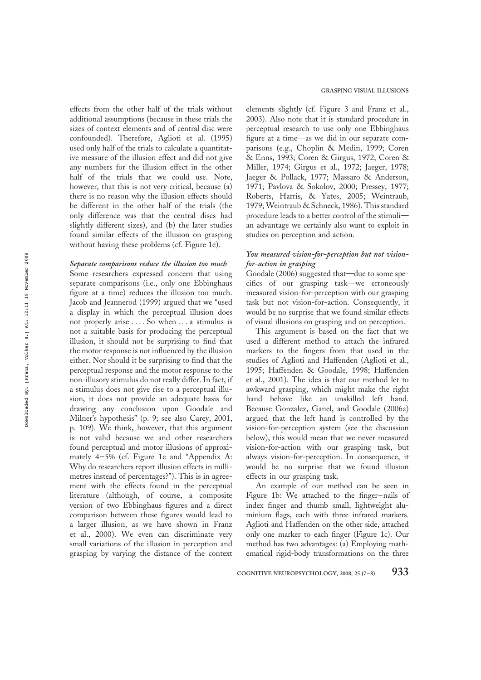effects from the other half of the trials without additional assumptions (because in these trials the sizes of context elements and of central disc were confounded). Therefore, Aglioti et al. (1995) used only half of the trials to calculate a quantitative measure of the illusion effect and did not give any numbers for the illusion effect in the other half of the trials that we could use. Note, however, that this is not very critical, because (a) there is no reason why the illusion effects should be different in the other half of the trials (the only difference was that the central discs had slightly different sizes), and (b) the later studies found similar effects of the illusion on grasping without having these problems (cf. Figure 1e).

#### Separate comparisons reduce the illusion too much

Some researchers expressed concern that using separate comparisons (i.e., only one Ebbinghaus figure at a time) reduces the illusion too much. Jacob and Jeannerod (1999) argued that we "used a display in which the perceptual illusion does not properly arise . . . . So when . . . a stimulus is not a suitable basis for producing the perceptual illusion, it should not be surprising to find that the motor response is not influenced by the illusion either. Nor should it be surprising to find that the perceptual response and the motor response to the non-illusory stimulus do not really differ. In fact, if a stimulus does not give rise to a perceptual illusion, it does not provide an adequate basis for drawing any conclusion upon Goodale and Milner's hypothesis" (p. 9; see also Carey, 2001, p. 109). We think, however, that this argument is not valid because we and other researchers found perceptual and motor illusions of approximately 4–5% (cf. Figure 1e and "Appendix A: Why do researchers report illusion effects in millimetres instead of percentages?"). This is in agreement with the effects found in the perceptual literature (although, of course, a composite version of two Ebbinghaus figures and a direct comparison between these figures would lead to a larger illusion, as we have shown in Franz et al., 2000). We even can discriminate very small variations of the illusion in perception and grasping by varying the distance of the context

elements slightly (cf. Figure 3 and Franz et al., 2003). Also note that it is standard procedure in perceptual research to use only one Ebbinghaus figure at a time—as we did in our separate comparisons (e.g., Choplin & Medin, 1999; Coren & Enns, 1993; Coren & Girgus, 1972; Coren & Miller, 1974; Girgus et al., 1972; Jaeger, 1978; Jaeger & Pollack, 1977; Massaro & Anderson, 1971; Pavlova & Sokolov, 2000; Pressey, 1977; Roberts, Harris, & Yates, 2005; Weintraub, 1979; Weintraub & Schneck, 1986). This standard procedure leads to a better control of the stimuli an advantage we certainly also want to exploit in studies on perception and action.

## You measured vision-for-perception but not visionfor-action in grasping

Goodale (2006) suggested that—due to some specifics of our grasping task—we erroneously measured vision-for-perception with our grasping task but not vision-for-action. Consequently, it would be no surprise that we found similar effects of visual illusions on grasping and on perception.

This argument is based on the fact that we used a different method to attach the infrared markers to the fingers from that used in the studies of Aglioti and Haffenden (Aglioti et al., 1995; Haffenden & Goodale, 1998; Haffenden et al., 2001). The idea is that our method let to awkward grasping, which might make the right hand behave like an unskilled left hand. Because Gonzalez, Ganel, and Goodale (2006a) argued that the left hand is controlled by the vision-for-perception system (see the discussion below), this would mean that we never measured vision-for-action with our grasping task, but always vision-for-perception. In consequence, it would be no surprise that we found illusion effects in our grasping task.

An example of our method can be seen in Figure 1b: We attached to the finger–nails of index finger and thumb small, lightweight aluminium flags, each with three infrared markers. Aglioti and Haffenden on the other side, attached only one marker to each finger (Figure 1c). Our method has two advantages: (a) Employing mathematical rigid-body transformations on the three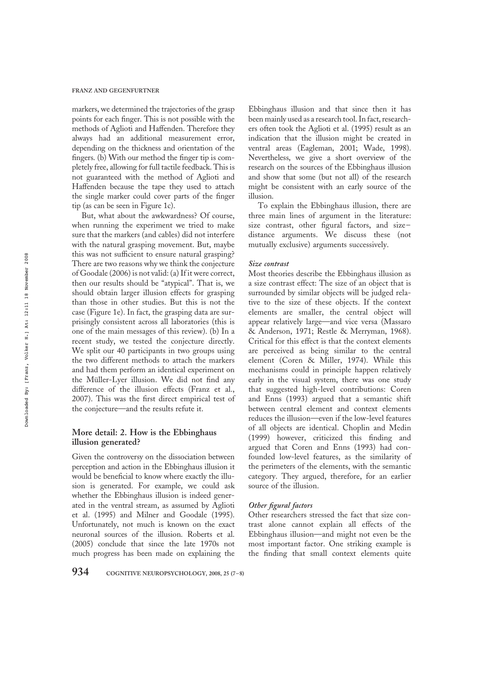markers, we determined the trajectories of the grasp points for each finger. This is not possible with the methods of Aglioti and Haffenden. Therefore they always had an additional measurement error, depending on the thickness and orientation of the fingers. (b) With our method the finger tip is completely free, allowing for full tactile feedback. This is not guaranteed with the method of Aglioti and Haffenden because the tape they used to attach the single marker could cover parts of the finger tip (as can be seen in Figure 1c).

But, what about the awkwardness? Of course, when running the experiment we tried to make sure that the markers (and cables) did not interfere with the natural grasping movement. But, maybe this was not sufficient to ensure natural grasping? There are two reasons why we think the conjecture of Goodale (2006) is not valid: (a) If it were correct, then our results should be "atypical". That is, we should obtain larger illusion effects for grasping than those in other studies. But this is not the case (Figure 1e). In fact, the grasping data are surprisingly consistent across all laboratories (this is one of the main messages of this review). (b) In a recent study, we tested the conjecture directly. We split our 40 participants in two groups using the two different methods to attach the markers and had them perform an identical experiment on the Müller-Lyer illusion. We did not find any difference of the illusion effects (Franz et al., 2007). This was the first direct empirical test of the conjecture—and the results refute it.

## More detail: 2. How is the Ebbinghaus illusion generated?

Given the controversy on the dissociation between perception and action in the Ebbinghaus illusion it would be beneficial to know where exactly the illusion is generated. For example, we could ask whether the Ebbinghaus illusion is indeed generated in the ventral stream, as assumed by Aglioti et al. (1995) and Milner and Goodale (1995). Unfortunately, not much is known on the exact neuronal sources of the illusion. Roberts et al. (2005) conclude that since the late 1970s not much progress has been made on explaining the

Ebbinghaus illusion and that since then it has been mainly used as a research tool. In fact, researchers often took the Aglioti et al. (1995) result as an indication that the illusion might be created in ventral areas (Eagleman, 2001; Wade, 1998). Nevertheless, we give a short overview of the research on the sources of the Ebbinghaus illusion and show that some (but not all) of the research might be consistent with an early source of the illusion.

To explain the Ebbinghaus illusion, there are three main lines of argument in the literature: size contrast, other figural factors, and size– distance arguments. We discuss these (not mutually exclusive) arguments successively.

#### Size contrast

Most theories describe the Ebbinghaus illusion as a size contrast effect: The size of an object that is surrounded by similar objects will be judged relative to the size of these objects. If the context elements are smaller, the central object will appear relatively large—and vice versa (Massaro & Anderson, 1971; Restle & Merryman, 1968). Critical for this effect is that the context elements are perceived as being similar to the central element (Coren & Miller, 1974). While this mechanisms could in principle happen relatively early in the visual system, there was one study that suggested high-level contributions: Coren and Enns (1993) argued that a semantic shift between central element and context elements reduces the illusion—even if the low-level features of all objects are identical. Choplin and Medin (1999) however, criticized this finding and argued that Coren and Enns (1993) had confounded low-level features, as the similarity of the perimeters of the elements, with the semantic category. They argued, therefore, for an earlier source of the illusion.

#### Other figural factors

Other researchers stressed the fact that size contrast alone cannot explain all effects of the Ebbinghaus illusion—and might not even be the most important factor. One striking example is the finding that small context elements quite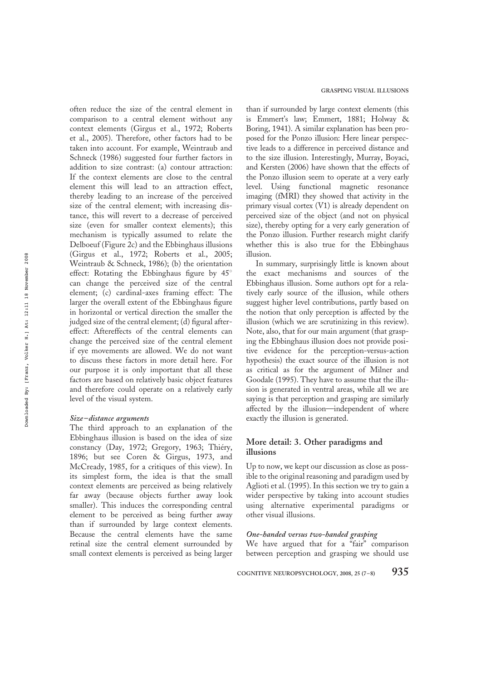often reduce the size of the central element in comparison to a central element without any context elements (Girgus et al., 1972; Roberts et al., 2005). Therefore, other factors had to be taken into account. For example, Weintraub and Schneck (1986) suggested four further factors in addition to size contrast: (a) contour attraction: If the context elements are close to the central element this will lead to an attraction effect, thereby leading to an increase of the perceived size of the central element; with increasing distance, this will revert to a decrease of perceived size (even for smaller context elements); this mechanism is typically assumed to relate the Delboeuf (Figure 2c) and the Ebbinghaus illusions (Girgus et al., 1972; Roberts et al., 2005; Weintraub & Schneck, 1986); (b) the orientation effect: Rotating the Ebbinghaus figure by  $45^\circ$ can change the perceived size of the central element; (c) cardinal-axes framing effect: The larger the overall extent of the Ebbinghaus figure in horizontal or vertical direction the smaller the judged size of the central element; (d) figural aftereffect: Aftereffects of the central elements can change the perceived size of the central element if eye movements are allowed. We do not want to discuss these factors in more detail here. For our purpose it is only important that all these factors are based on relatively basic object features and therefore could operate on a relatively early level of the visual system.

#### Size–distance arguments

The third approach to an explanation of the Ebbinghaus illusion is based on the idea of size constancy (Day, 1972; Gregory, 1963; Thiéry, 1896; but see Coren & Girgus, 1973, and McCready, 1985, for a critiques of this view). In its simplest form, the idea is that the small context elements are perceived as being relatively far away (because objects further away look smaller). This induces the corresponding central element to be perceived as being further away than if surrounded by large context elements. Because the central elements have the same retinal size the central element surrounded by small context elements is perceived as being larger

than if surrounded by large context elements (this is Emmert's law; Emmert, 1881; Holway & Boring, 1941). A similar explanation has been proposed for the Ponzo illusion: Here linear perspective leads to a difference in perceived distance and to the size illusion. Interestingly, Murray, Boyaci, and Kersten (2006) have shown that the effects of the Ponzo illusion seem to operate at a very early level. Using functional magnetic resonance imaging (fMRI) they showed that activity in the primary visual cortex (V1) is already dependent on perceived size of the object (and not on physical size), thereby opting for a very early generation of the Ponzo illusion. Further research might clarify whether this is also true for the Ebbinghaus illusion.

In summary, surprisingly little is known about the exact mechanisms and sources of the Ebbinghaus illusion. Some authors opt for a relatively early source of the illusion, while others suggest higher level contributions, partly based on the notion that only perception is affected by the illusion (which we are scrutinizing in this review). Note, also, that for our main argument (that grasping the Ebbinghaus illusion does not provide positive evidence for the perception-versus-action hypothesis) the exact source of the illusion is not as critical as for the argument of Milner and Goodale (1995). They have to assume that the illusion is generated in ventral areas, while all we are saying is that perception and grasping are similarly affected by the illusion—independent of where exactly the illusion is generated.

## More detail: 3. Other paradigms and illusions

Up to now, we kept our discussion as close as possible to the original reasoning and paradigm used by Aglioti et al. (1995). In this section we try to gain a wider perspective by taking into account studies using alternative experimental paradigms or other visual illusions.

## One-handed versus two-handed grasping

We have argued that for a "fair" comparison between perception and grasping we should use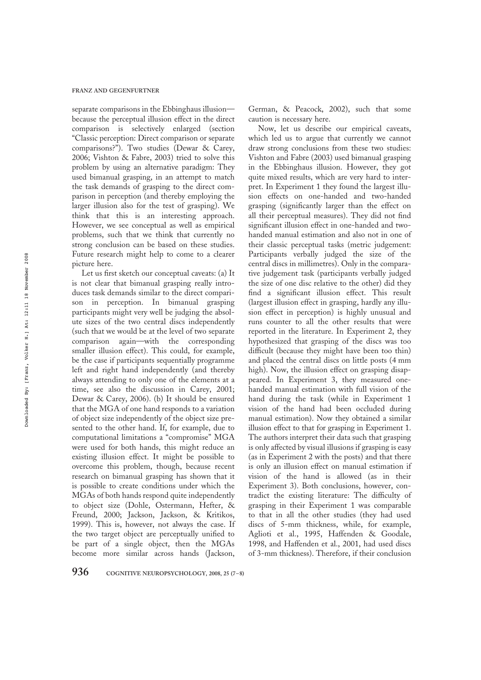separate comparisons in the Ebbinghaus illusion because the perceptual illusion effect in the direct comparison is selectively enlarged (section "Classic perception: Direct comparison or separate comparisons?"). Two studies (Dewar & Carey, 2006; Vishton & Fabre, 2003) tried to solve this problem by using an alternative paradigm: They used bimanual grasping, in an attempt to match the task demands of grasping to the direct comparison in perception (and thereby employing the larger illusion also for the test of grasping). We think that this is an interesting approach. However, we see conceptual as well as empirical problems, such that we think that currently no strong conclusion can be based on these studies. Future research might help to come to a clearer picture here.

Let us first sketch our conceptual caveats: (a) It is not clear that bimanual grasping really introduces task demands similar to the direct comparison in perception. In bimanual grasping participants might very well be judging the absolute sizes of the two central discs independently (such that we would be at the level of two separate comparison again—with the corresponding smaller illusion effect). This could, for example, be the case if participants sequentially programme left and right hand independently (and thereby always attending to only one of the elements at a time, see also the discussion in Carey, 2001; Dewar & Carey, 2006). (b) It should be ensured that the MGA of one hand responds to a variation of object size independently of the object size presented to the other hand. If, for example, due to computational limitations a "compromise" MGA were used for both hands, this might reduce an existing illusion effect. It might be possible to overcome this problem, though, because recent research on bimanual grasping has shown that it is possible to create conditions under which the MGAs of both hands respond quite independently to object size (Dohle, Ostermann, Hefter, & Freund, 2000; Jackson, Jackson, & Kritikos, 1999). This is, however, not always the case. If the two target object are perceptually unified to be part of a single object, then the MGAs become more similar across hands (Jackson,

German, & Peacock, 2002), such that some caution is necessary here.

Now, let us describe our empirical caveats, which led us to argue that currently we cannot draw strong conclusions from these two studies: Vishton and Fabre (2003) used bimanual grasping in the Ebbinghaus illusion. However, they got quite mixed results, which are very hard to interpret. In Experiment 1 they found the largest illusion effects on one-handed and two-handed grasping (significantly larger than the effect on all their perceptual measures). They did not find significant illusion effect in one-handed and twohanded manual estimation and also not in one of their classic perceptual tasks (metric judgement: Participants verbally judged the size of the central discs in millimetres). Only in the comparative judgement task (participants verbally judged the size of one disc relative to the other) did they find a significant illusion effect. This result (largest illusion effect in grasping, hardly any illusion effect in perception) is highly unusual and runs counter to all the other results that were reported in the literature. In Experiment 2, they hypothesized that grasping of the discs was too difficult (because they might have been too thin) and placed the central discs on little posts (4 mm high). Now, the illusion effect on grasping disappeared. In Experiment 3, they measured onehanded manual estimation with full vision of the hand during the task (while in Experiment 1 vision of the hand had been occluded during manual estimation). Now they obtained a similar illusion effect to that for grasping in Experiment 1. The authors interpret their data such that grasping is only affected by visual illusions if grasping is easy (as in Experiment 2 with the posts) and that there is only an illusion effect on manual estimation if vision of the hand is allowed (as in their Experiment 3). Both conclusions, however, contradict the existing literature: The difficulty of grasping in their Experiment 1 was comparable to that in all the other studies (they had used discs of 5-mm thickness, while, for example, Aglioti et al., 1995, Haffenden & Goodale, 1998, and Haffenden et al., 2001, had used discs of 3-mm thickness). Therefore, if their conclusion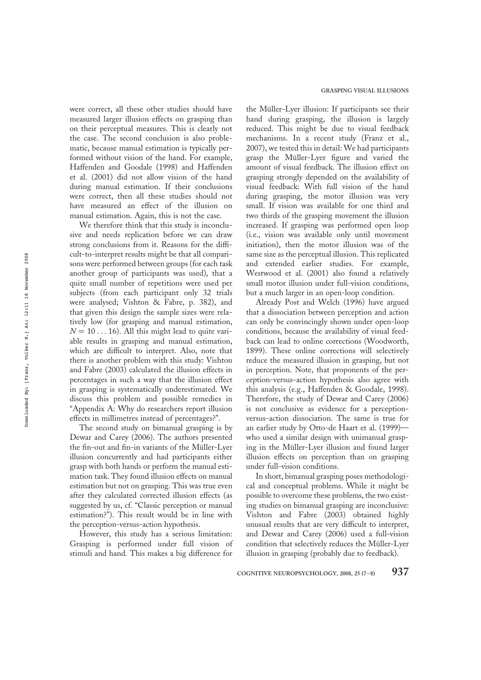were correct, all these other studies should have measured larger illusion effects on grasping than on their perceptual measures. This is clearly not the case. The second conclusion is also problematic, because manual estimation is typically performed without vision of the hand. For example, Haffenden and Goodale (1998) and Haffenden et al. (2001) did not allow vision of the hand during manual estimation. If their conclusions were correct, then all these studies should not have measured an effect of the illusion on manual estimation. Again, this is not the case.

We therefore think that this study is inconclusive and needs replication before we can draw strong conclusions from it. Reasons for the difficult-to-interpret results might be that all comparisons were performed between groups (for each task another group of participants was used), that a quite small number of repetitions were used per subjects (from each participant only 32 trials were analysed; Vishton & Fabre, p. 382), and that given this design the sample sizes were relatively low (for grasping and manual estimation,  $N = 10...16$ . All this might lead to quite variable results in grasping and manual estimation, which are difficult to interpret. Also, note that there is another problem with this study: Vishton and Fabre (2003) calculated the illusion effects in percentages in such a way that the illusion effect in grasping is systematically underestimated. We discuss this problem and possible remedies in "Appendix A: Why do researchers report illusion effects in millimetres instead of percentages?".

The second study on bimanual grasping is by Dewar and Carey (2006). The authors presented the fin-out and fin-in variants of the Müller-Lyer illusion concurrently and had participants either grasp with both hands or perform the manual estimation task. They found illusion effects on manual estimation but not on grasping. This was true even after they calculated corrected illusion effects (as suggested by us, cf. "Classic perception or manual estimation?"). This result would be in line with the perception-versus-action hypothesis.

However, this study has a serious limitation: Grasping is performed under full vision of stimuli and hand. This makes a big difference for

the Müller-Lyer illusion: If participants see their hand during grasping, the illusion is largely reduced. This might be due to visual feedback mechanisms. In a recent study (Franz et al., 2007), we tested this in detail: We had participants grasp the Müller-Lyer figure and varied the amount of visual feedback. The illusion effect on grasping strongly depended on the availability of visual feedback: With full vision of the hand during grasping, the motor illusion was very small. If vision was available for one third and two thirds of the grasping movement the illusion increased. If grasping was performed open loop (i.e., vision was available only until movement initiation), then the motor illusion was of the same size as the perceptual illusion. This replicated and extended earlier studies. For example, Westwood et al. (2001) also found a relatively small motor illusion under full-vision conditions, but a much larger in an open-loop condition.

Already Post and Welch (1996) have argued that a dissociation between perception and action can only be convincingly shown under open-loop conditions, because the availability of visual feedback can lead to online corrections (Woodworth, 1899). These online corrections will selectively reduce the measured illusion in grasping, but not in perception. Note, that proponents of the perception-versus-action hypothesis also agree with this analysis (e.g., Haffenden & Goodale, 1998). Therefore, the study of Dewar and Carey (2006) is not conclusive as evidence for a perceptionversus-action dissociation. The same is true for an earlier study by Otto-de Haart et al. (1999) who used a similar design with unimanual grasping in the Müller-Lyer illusion and found larger illusion effects on perception than on grasping under full-vision conditions.

In short, bimanual grasping poses methodological and conceptual problems. While it might be possible to overcome these problems, the two existing studies on bimanual grasping are inconclusive: Vishton and Fabre (2003) obtained highly unusual results that are very difficult to interpret, and Dewar and Carey (2006) used a full-vision condition that selectively reduces the Müller-Lyer illusion in grasping (probably due to feedback).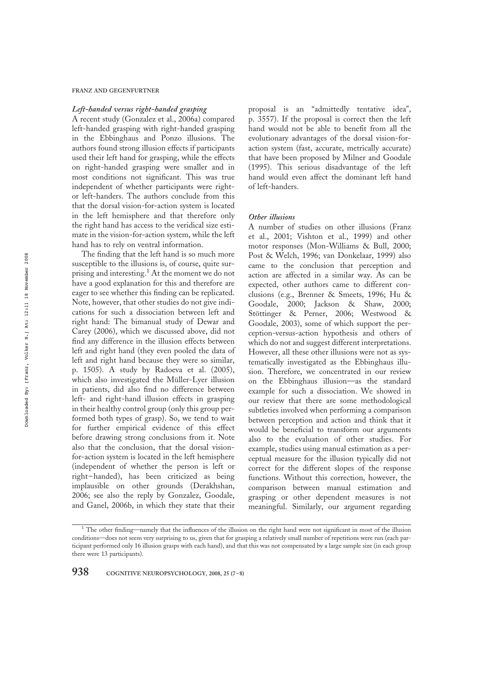#### FRANZ AND GEGENFURTNER

#### Left-handed versus right-handed grasping

A recent study (Gonzalez et al., 2006a) compared left-handed grasping with right-handed grasping in the Ebbinghaus and Ponzo illusions. The authors found strong illusion effects if participants used their left hand for grasping, while the effects on right-handed grasping were smaller and in most conditions not significant. This was true independent of whether participants were rightor left-handers. The authors conclude from this that the dorsal vision-for-action system is located in the left hemisphere and that therefore only the right hand has access to the veridical size estimate in the vision-for-action system, while the left hand has to rely on ventral information.

The finding that the left hand is so much more susceptible to the illusions is, of course, quite surprising and interesting.<sup>1</sup> At the moment we do not have a good explanation for this and therefore are eager to see whether this finding can be replicated. Note, however, that other studies do not give indications for such a dissociation between left and right hand: The bimanual study of Dewar and Carey (2006), which we discussed above, did not find any difference in the illusion effects between left and right hand (they even pooled the data of left and right hand because they were so similar, p. 1505). A study by Radoeva et al. (2005), which also investigated the Müller-Lyer illusion in patients, did also find no difference between left- and right-hand illusion effects in grasping in their healthy control group (only this group performed both types of grasp). So, we tend to wait for further empirical evidence of this effect before drawing strong conclusions from it. Note also that the conclusion, that the dorsal visionfor-action system is located in the left hemisphere (independent of whether the person is left or right–handed), has been criticized as being implausible on other grounds (Derakhshan, 2006; see also the reply by Gonzalez, Goodale, and Ganel, 2006b, in which they state that their

proposal is an "admittedly tentative idea", p. 3557). If the proposal is correct then the left hand would not be able to benefit from all the evolutionary advantages of the dorsal vision-foraction system (fast, accurate, metrically accurate) that have been proposed by Milner and Goodale (1995). This serious disadvantage of the left hand would even affect the dominant left hand of left-handers.

#### Other illusions

A number of studies on other illusions (Franz et al., 2001; Vishton et al., 1999) and other motor responses (Mon-Williams & Bull, 2000; Post & Welch, 1996; van Donkelaar, 1999) also came to the conclusion that perception and action are affected in a similar way. As can be expected, other authors came to different conclusions (e.g., Brenner & Smeets, 1996; Hu & Goodale, 2000; Jackson & Shaw, 2000; Stöttinger & Perner, 2006; Westwood & Goodale, 2003), some of which support the perception-versus-action hypothesis and others of which do not and suggest different interpretations. However, all these other illusions were not as systematically investigated as the Ebbinghaus illusion. Therefore, we concentrated in our review on the Ebbinghaus illusion—as the standard example for such a dissociation. We showed in our review that there are some methodological subtleties involved when performing a comparison between perception and action and think that it would be beneficial to transform our arguments also to the evaluation of other studies. For example, studies using manual estimation as a perceptual measure for the illusion typically did not correct for the different slopes of the response functions. Without this correction, however, the comparison between manual estimation and grasping or other dependent measures is not meaningful. Similarly, our argument regarding

<sup>&</sup>lt;sup>1</sup> The other finding—namely that the influences of the illusion on the right hand were not significant in most of the illusion conditions—does not seem very surprising to us, given that for grasping a relatively small number of repetitions were run (each participant performed only 16 illusion grasps with each hand), and that this was not compensated by a large sample size (in each group there were 13 participants).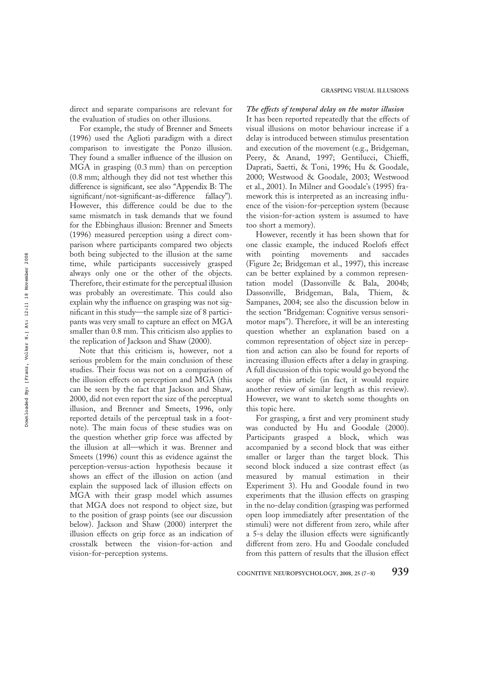direct and separate comparisons are relevant for the evaluation of studies on other illusions.

For example, the study of Brenner and Smeets (1996) used the Aglioti paradigm with a direct comparison to investigate the Ponzo illusion. They found a smaller influence of the illusion on MGA in grasping (0.3 mm) than on perception (0.8 mm; although they did not test whether this difference is significant, see also "Appendix B: The significant/not-significant-as-difference fallacy"). However, this difference could be due to the same mismatch in task demands that we found for the Ebbinghaus illusion: Brenner and Smeets (1996) measured perception using a direct comparison where participants compared two objects both being subjected to the illusion at the same time, while participants successively grasped always only one or the other of the objects. Therefore, their estimate for the perceptual illusion was probably an overestimate. This could also explain why the influence on grasping was not significant in this study—the sample size of 8 participants was very small to capture an effect on MGA smaller than 0.8 mm. This criticism also applies to the replication of Jackson and Shaw (2000).

Note that this criticism is, however, not a serious problem for the main conclusion of these studies. Their focus was not on a comparison of the illusion effects on perception and MGA (this can be seen by the fact that Jackson and Shaw, 2000, did not even report the size of the perceptual illusion, and Brenner and Smeets, 1996, only reported details of the perceptual task in a footnote). The main focus of these studies was on the question whether grip force was affected by the illusion at all—which it was. Brenner and Smeets (1996) count this as evidence against the perception-versus-action hypothesis because it shows an effect of the illusion on action (and explain the supposed lack of illusion effects on MGA with their grasp model which assumes that MGA does not respond to object size, but to the position of grasp points (see our discussion below). Jackson and Shaw (2000) interpret the illusion effects on grip force as an indication of crosstalk between the vision-for-action and vision-for-perception systems.

The effects of temporal delay on the motor illusion It has been reported repeatedly that the effects of visual illusions on motor behaviour increase if a delay is introduced between stimulus presentation and execution of the movement (e.g., Bridgeman, Peery, & Anand, 1997; Gentilucci, Chieffi, Daprati, Saetti, & Toni, 1996; Hu & Goodale, 2000; Westwood & Goodale, 2003; Westwood et al., 2001). In Milner and Goodale's (1995) framework this is interpreted as an increasing influence of the vision-for-perception system (because the vision-for-action system is assumed to have too short a memory).

However, recently it has been shown that for one classic example, the induced Roelofs effect with pointing movements and saccades (Figure 2e; Bridgeman et al., 1997), this increase can be better explained by a common representation model (Dassonville & Bala, 2004b; Dassonville, Bridgeman, Bala, Thiem, & Sampanes, 2004; see also the discussion below in the section "Bridgeman: Cognitive versus sensorimotor maps"). Therefore, it will be an interesting question whether an explanation based on a common representation of object size in perception and action can also be found for reports of increasing illusion effects after a delay in grasping. A full discussion of this topic would go beyond the scope of this article (in fact, it would require another review of similar length as this review). However, we want to sketch some thoughts on this topic here.

For grasping, a first and very prominent study was conducted by Hu and Goodale (2000). Participants grasped a block, which was accompanied by a second block that was either smaller or larger than the target block. This second block induced a size contrast effect (as measured by manual estimation in their Experiment 3). Hu and Goodale found in two experiments that the illusion effects on grasping in the no-delay condition (grasping was performed open loop immediately after presentation of the stimuli) were not different from zero, while after a 5-s delay the illusion effects were significantly different from zero. Hu and Goodale concluded from this pattern of results that the illusion effect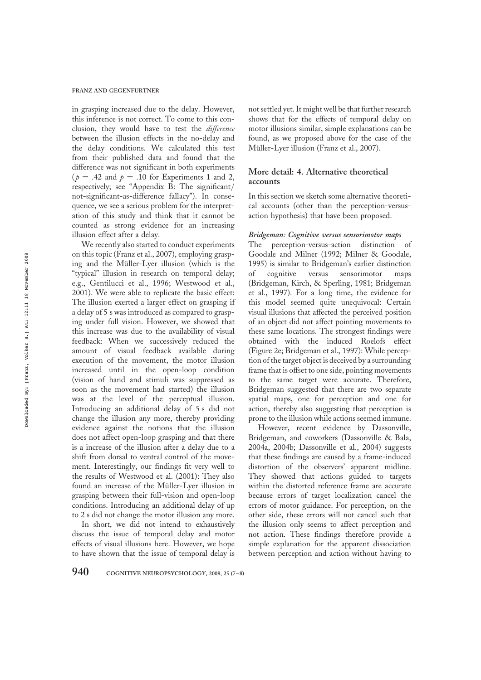in grasping increased due to the delay. However, this inference is not correct. To come to this conclusion, they would have to test the difference between the illusion effects in the no-delay and the delay conditions. We calculated this test from their published data and found that the difference was not significant in both experiments ( $p = .42$  and  $p = .10$  for Experiments 1 and 2, respectively; see "Appendix B: The significant/ not-significant-as-difference fallacy"). In consequence, we see a serious problem for the interpretation of this study and think that it cannot be counted as strong evidence for an increasing illusion effect after a delay.

We recently also started to conduct experiments on this topic (Franz et al., 2007), employing grasping and the Müller-Lyer illusion (which is the "typical" illusion in research on temporal delay; e.g., Gentilucci et al., 1996; Westwood et al., 2001). We were able to replicate the basic effect: The illusion exerted a larger effect on grasping if a delay of 5 s was introduced as compared to grasping under full vision. However, we showed that this increase was due to the availability of visual feedback: When we successively reduced the amount of visual feedback available during execution of the movement, the motor illusion increased until in the open-loop condition (vision of hand and stimuli was suppressed as soon as the movement had started) the illusion was at the level of the perceptual illusion. Introducing an additional delay of 5 s did not change the illusion any more, thereby providing evidence against the notions that the illusion does not affect open-loop grasping and that there is a increase of the illusion after a delay due to a shift from dorsal to ventral control of the movement. Interestingly, our findings fit very well to the results of Westwood et al. (2001): They also found an increase of the Müller-Lyer illusion in grasping between their full-vision and open-loop conditions. Introducing an additional delay of up to 2 s did not change the motor illusion any more.

In short, we did not intend to exhaustively discuss the issue of temporal delay and motor effects of visual illusions here. However, we hope to have shown that the issue of temporal delay is not settled yet. It might well be that further research shows that for the effects of temporal delay on motor illusions similar, simple explanations can be found, as we proposed above for the case of the Müller-Lyer illusion (Franz et al., 2007).

#### More detail: 4. Alternative theoretical accounts

In this section we sketch some alternative theoretical accounts (other than the perception-versusaction hypothesis) that have been proposed.

#### Bridgeman: Cognitive versus sensorimotor maps

The perception-versus-action distinction of Goodale and Milner (1992; Milner & Goodale, 1995) is similar to Bridgeman's earlier distinction of cognitive versus sensorimotor maps (Bridgeman, Kirch, & Sperling, 1981; Bridgeman et al., 1997). For a long time, the evidence for this model seemed quite unequivocal: Certain visual illusions that affected the perceived position of an object did not affect pointing movements to these same locations. The strongest findings were obtained with the induced Roelofs effect (Figure 2e; Bridgeman et al., 1997): While perception of the target object is deceived by a surrounding frame that is offset to one side, pointing movements to the same target were accurate. Therefore, Bridgeman suggested that there are two separate spatial maps, one for perception and one for action, thereby also suggesting that perception is prone to the illusion while actions seemed immune.

However, recent evidence by Dassonville, Bridgeman, and coworkers (Dassonville & Bala, 2004a, 2004b; Dassonville et al., 2004) suggests that these findings are caused by a frame-induced distortion of the observers' apparent midline. They showed that actions guided to targets within the distorted reference frame are accurate because errors of target localization cancel the errors of motor guidance. For perception, on the other side, these errors will not cancel such that the illusion only seems to affect perception and not action. These findings therefore provide a simple explanation for the apparent dissociation between perception and action without having to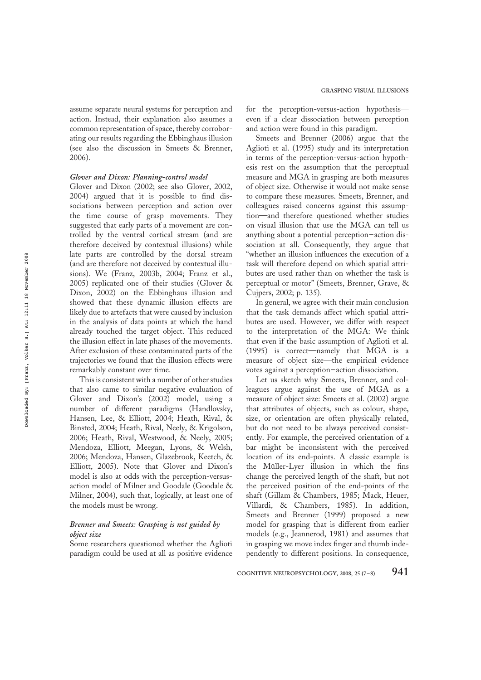assume separate neural systems for perception and action. Instead, their explanation also assumes a common representation of space, thereby corroborating our results regarding the Ebbinghaus illusion (see also the discussion in Smeets & Brenner, 2006).

#### Glover and Dixon: Planning-control model

Glover and Dixon (2002; see also Glover, 2002, 2004) argued that it is possible to find dissociations between perception and action over the time course of grasp movements. They suggested that early parts of a movement are controlled by the ventral cortical stream (and are therefore deceived by contextual illusions) while late parts are controlled by the dorsal stream (and are therefore not deceived by contextual illusions). We (Franz, 2003b, 2004; Franz et al., 2005) replicated one of their studies (Glover & Dixon, 2002) on the Ebbinghaus illusion and showed that these dynamic illusion effects are likely due to artefacts that were caused by inclusion in the analysis of data points at which the hand already touched the target object. This reduced the illusion effect in late phases of the movements. After exclusion of these contaminated parts of the trajectories we found that the illusion effects were remarkably constant over time.

This is consistent with a number of other studies that also came to similar negative evaluation of Glover and Dixon's (2002) model, using a number of different paradigms (Handlovsky, Hansen, Lee, & Elliott, 2004; Heath, Rival, & Binsted, 2004; Heath, Rival, Neely, & Krigolson, 2006; Heath, Rival, Westwood, & Neely, 2005; Mendoza, Elliott, Meegan, Lyons, & Welsh, 2006; Mendoza, Hansen, Glazebrook, Keetch, & Elliott, 2005). Note that Glover and Dixon's model is also at odds with the perception-versusaction model of Milner and Goodale (Goodale & Milner, 2004), such that, logically, at least one of the models must be wrong.

# Brenner and Smeets: Grasping is not guided by object size

Some researchers questioned whether the Aglioti paradigm could be used at all as positive evidence for the perception-versus-action hypothesis even if a clear dissociation between perception and action were found in this paradigm.

Smeets and Brenner (2006) argue that the Aglioti et al. (1995) study and its interpretation in terms of the perception-versus-action hypothesis rest on the assumption that the perceptual measure and MGA in grasping are both measures of object size. Otherwise it would not make sense to compare these measures. Smeets, Brenner, and colleagues raised concerns against this assumption—and therefore questioned whether studies on visual illusion that use the MGA can tell us anything about a potential perception–action dissociation at all. Consequently, they argue that "whether an illusion influences the execution of a task will therefore depend on which spatial attributes are used rather than on whether the task is perceptual or motor" (Smeets, Brenner, Grave, & Cujpers, 2002; p. 135).

In general, we agree with their main conclusion that the task demands affect which spatial attributes are used. However, we differ with respect to the interpretation of the MGA: We think that even if the basic assumption of Aglioti et al. (1995) is correct—namely that MGA is a measure of object size—the empirical evidence votes against a perception–action dissociation.

Let us sketch why Smeets, Brenner, and colleagues argue against the use of MGA as a measure of object size: Smeets et al. (2002) argue that attributes of objects, such as colour, shape, size, or orientation are often physically related, but do not need to be always perceived consistently. For example, the perceived orientation of a bar might be inconsistent with the perceived location of its end-points. A classic example is the Müller-Lyer illusion in which the fins change the perceived length of the shaft, but not the perceived position of the end-points of the shaft (Gillam & Chambers, 1985; Mack, Heuer, Villardi, & Chambers, 1985). In addition, Smeets and Brenner (1999) proposed a new model for grasping that is different from earlier models (e.g., Jeannerod, 1981) and assumes that in grasping we move index finger and thumb independently to different positions. In consequence,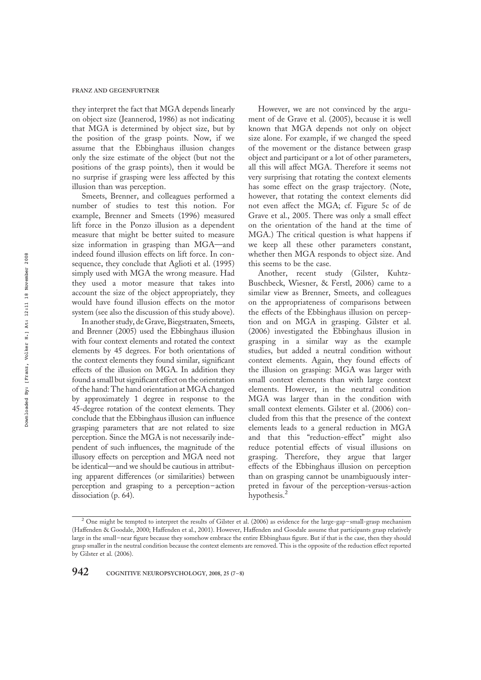they interpret the fact that MGA depends linearly on object size (Jeannerod, 1986) as not indicating that MGA is determined by object size, but by the position of the grasp points. Now, if we assume that the Ebbinghaus illusion changes only the size estimate of the object (but not the positions of the grasp points), then it would be no surprise if grasping were less affected by this illusion than was perception.

Smeets, Brenner, and colleagues performed a number of studies to test this notion. For example, Brenner and Smeets (1996) measured lift force in the Ponzo illusion as a dependent measure that might be better suited to measure size information in grasping than MGA—and indeed found illusion effects on lift force. In consequence, they conclude that Aglioti et al. (1995) simply used with MGA the wrong measure. Had they used a motor measure that takes into account the size of the object appropriately, they would have found illusion effects on the motor system (see also the discussion of this study above).

In another study, de Grave, Biegstraaten, Smeets, and Brenner (2005) used the Ebbinghaus illusion with four context elements and rotated the context elements by 45 degrees. For both orientations of the context elements they found similar, significant effects of the illusion on MGA. In addition they found a small but significant effect on the orientation of the hand:The hand orientation at MGA changed by approximately 1 degree in response to the 45-degree rotation of the context elements. They conclude that the Ebbinghaus illusion can influence grasping parameters that are not related to size perception. Since the MGA is not necessarily independent of such influences, the magnitude of the illusory effects on perception and MGA need not be identical—and we should be cautious in attributing apparent differences (or similarities) between perception and grasping to a perception–action dissociation (p. 64).

However, we are not convinced by the argument of de Grave et al. (2005), because it is well known that MGA depends not only on object size alone. For example, if we changed the speed of the movement or the distance between grasp object and participant or a lot of other parameters, all this will affect MGA. Therefore it seems not very surprising that rotating the context elements has some effect on the grasp trajectory. (Note, however, that rotating the context elements did not even affect the MGA; cf. Figure 5c of de Grave et al., 2005. There was only a small effect on the orientation of the hand at the time of MGA.) The critical question is what happens if we keep all these other parameters constant, whether then MGA responds to object size. And this seems to be the case.

Another, recent study (Gilster, Kuhtz-Buschbeck, Wiesner, & Ferstl, 2006) came to a similar view as Brenner, Smeets, and colleagues on the appropriateness of comparisons between the effects of the Ebbinghaus illusion on perception and on MGA in grasping. Gilster et al. (2006) investigated the Ebbinghaus illusion in grasping in a similar way as the example studies, but added a neutral condition without context elements. Again, they found effects of the illusion on grasping: MGA was larger with small context elements than with large context elements. However, in the neutral condition MGA was larger than in the condition with small context elements. Gilster et al. (2006) concluded from this that the presence of the context elements leads to a general reduction in MGA and that this "reduction-effect" might also reduce potential effects of visual illusions on grasping. Therefore, they argue that larger effects of the Ebbinghaus illusion on perception than on grasping cannot be unambiguously interpreted in favour of the perception-versus-action hypothesis.<sup>2</sup>

<sup>&</sup>lt;sup>2</sup> One might be tempted to interpret the results of Gilster et al. (2006) as evidence for the large-gap-small-grasp mechanism (Haffenden & Goodale, 2000; Haffenden et al., 2001). However, Haffenden and Goodale assume that participants grasp relatively large in the small–near figure because they somehow embrace the entire Ebbinghaus figure. But if that is the case, then they should grasp smaller in the neutral condition because the context elements are removed. This is the opposite of the reduction effect reported by Gilster et al. (2006).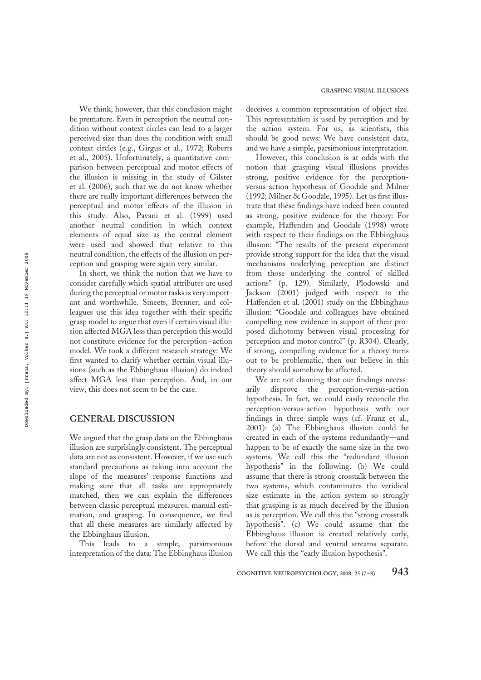We think, however, that this conclusion might be premature. Even in perception the neutral condition without context circles can lead to a larger perceived size than does the condition with small context circles (e.g., Girgus et al., 1972; Roberts et al., 2005). Unfortunately, a quantitative comparison between perceptual and motor effects of the illusion is missing in the study of Gilster et al. (2006), such that we do not know whether there are really important differences between the perceptual and motor effects of the illusion in this study. Also, Pavani et al. (1999) used another neutral condition in which context elements of equal size as the central element were used and showed that relative to this neutral condition, the effects of the illusion on perception and grasping were again very similar.

In short, we think the notion that we have to consider carefully which spatial attributes are used during the perceptual or motor tasks is very important and worthwhile. Smeets, Brenner, and colleagues use this idea together with their specific grasp model to argue that even if certain visual illusion affected MGA less than perception this would not constitute evidence for the perception–action model. We took a different research strategy: We first wanted to clarify whether certain visual illusions (such as the Ebbinghaus illusion) do indeed affect MGA less than perception. And, in our view, this does not seem to be the case.

#### GENERAL DISCUSSION

We argued that the grasp data on the Ebbinghaus illusion are surprisingly consistent. The perceptual data are not as consistent. However, if we use such standard precautions as taking into account the slope of the measures' response functions and making sure that all tasks are appropriately matched, then we can explain the differences between classic perceptual measures, manual estimation, and grasping. In consequence, we find that all these measures are similarly affected by the Ebbinghaus illusion.

This leads to a simple, parsimonious interpretation of the data: The Ebbinghaus illusion

deceives a common representation of object size. This representation is used by perception and by the action system. For us, as scientists, this should be good news: We have consistent data, and we have a simple, parsimonious interpretation.

However, this conclusion is at odds with the notion that grasping visual illusions provides strong, positive evidence for the perceptionversus-action hypothesis of Goodale and Milner (1992; Milner & Goodale, 1995). Let us first illustrate that these findings have indeed been counted as strong, positive evidence for the theory: For example, Haffenden and Goodale (1998) wrote with respect to their findings on the Ebbinghaus illusion: "The results of the present experiment provide strong support for the idea that the visual mechanisms underlying perception are distinct from those underlying the control of skilled actions" (p. 129). Similarly, Plodowski and Jackson (2001) judged with respect to the Haffenden et al. (2001) study on the Ebbinghaus illusion: "Goodale and colleagues have obtained compelling new evidence in support of their proposed dichotomy between visual processing for perception and motor control" (p. R304). Clearly, if strong, compelling evidence for a theory turns out to be problematic, then our believe in this theory should somehow be affected.

We are not claiming that our findings necessarily disprove the perception-versus-action hypothesis. In fact, we could easily reconcile the perception-versus-action hypothesis with our findings in three simple ways (cf. Franz et al., 2001): (a) The Ebbinghaus illusion could be created in each of the systems redundantly—and happen to be of exactly the same size in the two systems. We call this the "redundant illusion hypothesis" in the following. (b) We could assume that there is strong crosstalk between the two systems, which contaminates the veridical size estimate in the action system so strongly that grasping is as much deceived by the illusion as is perception. We call this the "strong crosstalk hypothesis". (c) We could assume that the Ebbinghaus illusion is created relatively early, before the dorsal and ventral streams separate. We call this the "early illusion hypothesis".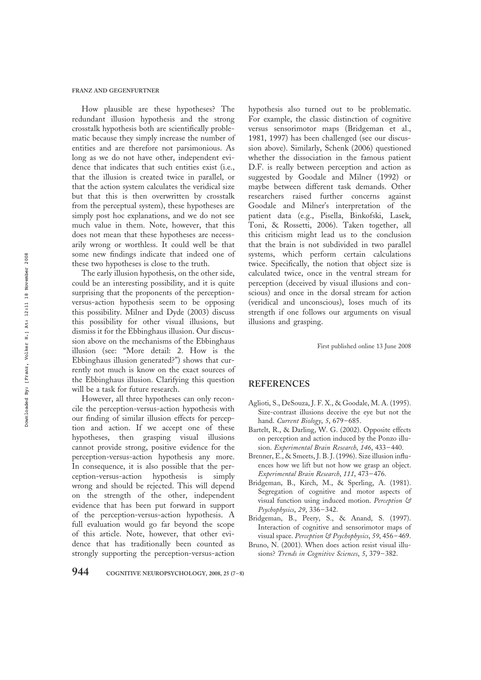How plausible are these hypotheses? The redundant illusion hypothesis and the strong crosstalk hypothesis both are scientifically problematic because they simply increase the number of entities and are therefore not parsimonious. As long as we do not have other, independent evidence that indicates that such entities exist (i.e., that the illusion is created twice in parallel, or that the action system calculates the veridical size but that this is then overwritten by crosstalk from the perceptual system), these hypotheses are simply post hoc explanations, and we do not see much value in them. Note, however, that this does not mean that these hypotheses are necessarily wrong or worthless. It could well be that some new findings indicate that indeed one of these two hypotheses is close to the truth.

The early illusion hypothesis, on the other side, could be an interesting possibility, and it is quite surprising that the proponents of the perceptionversus-action hypothesis seem to be opposing this possibility. Milner and Dyde (2003) discuss this possibility for other visual illusions, but dismiss it for the Ebbinghaus illusion. Our discussion above on the mechanisms of the Ebbinghaus illusion (see: "More detail: 2. How is the Ebbinghaus illusion generated?") shows that currently not much is know on the exact sources of the Ebbinghaus illusion. Clarifying this question will be a task for future research.

However, all three hypotheses can only reconcile the perception-versus-action hypothesis with our finding of similar illusion effects for perception and action. If we accept one of these hypotheses, then grasping visual illusions cannot provide strong, positive evidence for the perception-versus-action hypothesis any more. In consequence, it is also possible that the perception-versus-action hypothesis is simply wrong and should be rejected. This will depend on the strength of the other, independent evidence that has been put forward in support of the perception-versus-action hypothesis. A full evaluation would go far beyond the scope of this article. Note, however, that other evidence that has traditionally been counted as strongly supporting the perception-versus-action

hypothesis also turned out to be problematic. For example, the classic distinction of cognitive versus sensorimotor maps (Bridgeman et al., 1981, 1997) has been challenged (see our discussion above). Similarly, Schenk (2006) questioned whether the dissociation in the famous patient D.F. is really between perception and action as suggested by Goodale and Milner (1992) or maybe between different task demands. Other researchers raised further concerns against Goodale and Milner's interpretation of the patient data (e.g., Pisella, Binkofski, Lasek, Toni, & Rossetti, 2006). Taken together, all this criticism might lead us to the conclusion that the brain is not subdivided in two parallel systems, which perform certain calculations twice. Specifically, the notion that object size is calculated twice, once in the ventral stream for perception (deceived by visual illusions and conscious) and once in the dorsal stream for action (veridical and unconscious), loses much of its strength if one follows our arguments on visual illusions and grasping.

First published online 13 June 2008

## **REFERENCES**

- Aglioti, S., DeSouza, J. F. X., & Goodale, M. A. (1995). Size-contrast illusions deceive the eye but not the hand. Current Biology, 5, 679-685.
- Bartelt, R., & Darling, W. G. (2002). Opposite effects on perception and action induced by the Ponzo illusion. Experimental Brain Research, 146, 433–440.
- Brenner, E., & Smeets, J. B. J. (1996). Size illusion influences how we lift but not how we grasp an object. Experimental Brain Research, 111, 473–476.
- Bridgeman, B., Kirch, M., & Sperling, A. (1981). Segregation of cognitive and motor aspects of visual function using induced motion. Perception & Psychophysics, 29, 336–342.
- Bridgeman, B., Peery, S., & Anand, S. (1997). Interaction of cognitive and sensorimotor maps of visual space. Perception & Psychophysics, 59, 456-469.
- Bruno, N. (2001). When does action resist visual illusions? Trends in Cognitive Sciences, 5, 379-382.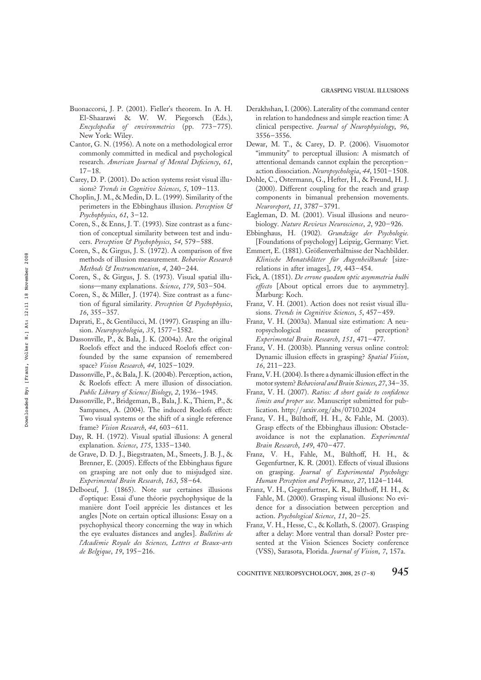- Buonaccorsi, J. P. (2001). Fieller's theorem. In A. H. El-Shaarawi & W. W. Piegorsch (Eds.), Encyclopedia of environmetrics (pp. 773–775). New York: Wiley.
- Cantor, G. N. (1956). A note on a methodological error commonly committed in medical and psychological research. American Journal of Mental Deficiency, 61, 17–18.
- Carey, D. P. (2001). Do action systems resist visual illusions? Trends in Cognitive Sciences, 5, 109-113.
- Choplin, J. M., & Medin, D. L. (1999). Similarity of the perimeters in the Ebbinghaus illusion. Perception & Psychophysics, 61, 3–12.
- Coren, S., & Enns, J. T. (1993). Size contrast as a function of conceptual similarity between test and inducers. Perception & Psychophysics, 54, 579-588.
- Coren, S., & Girgus, J. S. (1972). A comparison of five methods of illusion measurement. Behavior Research Methods & Instrumentation, 4, 240–244.
- Coren, S., & Girgus, J. S. (1973). Visual spatial illusions—many explanations. Science, 179, 503-504.
- Coren, S., & Miller, J. (1974). Size contrast as a function of figural similarity. Perception & Psychophysics, 16, 355–357.
- Daprati, E., & Gentilucci, M. (1997). Grasping an illusion. Neuropsychologia, 35, 1577–1582.
- Dassonville, P., & Bala, J. K. (2004a). Are the original Roelofs effect and the induced Roelofs effect confounded by the same expansion of remembered space? Vision Research, 44, 1025-1029.
- Dassonville, P., & Bala, J. K. (2004b). Perception, action, & Roelofs effect: A mere illusion of dissociation. Public Library of Science/Biology, 2, 1936–1945.
- Dassonville, P., Bridgeman, B., Bala, J. K., Thiem, P., & Sampanes, A. (2004). The induced Roelofs effect: Two visual systems or the shift of a single reference frame? Vision Research, 44, 603-611.
- Day, R. H. (1972). Visual spatial illusions: A general explanation. Science, 175, 1335-1340.
- de Grave, D. D. J., Biegstraaten, M., Smeets, J. B. J., & Brenner, E. (2005). Effects of the Ebbinghaus figure on grasping are not only due to misjudged size. Experimental Brain Research, 163, 58–64.
- Delboeuf, J. (1865). Note sur certaines illusions d'optique: Essai d'une théorie psychophysique de la manière dont l'oeil apprécie les distances et les angles [Note on certain optical illusions: Essay on a psychophysical theory concerning the way in which the eye evaluates distances and angles]. Bulletins de l'Académie Royale des Sciences, Lettres et Beaux-arts de Belgique, 19, 195–216.
- Derakhshan, I. (2006). Laterality of the command center in relation to handedness and simple reaction time: A clinical perspective. Journal of Neurophysiology, 96, 3556–3556.
- Dewar, M. T., & Carey, D. P. (2006). Visuomotor "immunity" to perceptual illusion: A mismatch of attentional demands cannot explain the perception– action dissociation. Neuropsychologia, 44, 1501–1508.
- Dohle, C., Ostermann, G., Hefter, H., & Freund, H. J. (2000). Different coupling for the reach and grasp components in bimanual prehension movements. Neuroreport, 11, 3787–3791.
- Eagleman, D. M. (2001). Visual illusions and neurobiology. Nature Reviews Neuroscience, 2, 920–926.
- Ebbinghaus, H. (1902). Grundzüge der Psychologie. [Foundations of psychology] Leipzig, Germany: Viet.
- Emmert, E. (1881). Größenverhältnisse der Nachbilder. Klinische Monatsblätter für Augenheilkunde [sizerelations in after images], 19, 443–454.
- Fick, A. (1851). De errone quodam optic asymmetria bulbi effecto [About optical errors due to asymmetry]. Marburg: Koch.
- Franz, V. H. (2001). Action does not resist visual illusions. Trends in Cognitive Sciences, 5, 457-459.
- Franz, V. H. (2003a). Manual size estimation: A neuropsychological measure of perception? Experimental Brain Research, 151, 471–477.
- Franz, V. H. (2003b). Planning versus online control: Dynamic illusion effects in grasping? Spatial Vision, 16, 211–223.
- Franz, V. H. (2004). Is there a dynamic illusion effect in the motor system? Behavioral and Brain Sciences, 27, 34–35.
- Franz, V. H. (2007). Ratios: A short guide to confidence limits and proper use. Manuscript submitted for publication. http://arxiv.org/abs/0710.2024
- Franz, V. H., Bülthoff, H. H., & Fahle, M. (2003). Grasp effects of the Ebbinghaus illusion: Obstacleavoidance is not the explanation. Experimental Brain Research, 149, 470–477.
- Franz, V. H., Fahle, M., Bülthoff, H. H., & Gegenfurtner, K. R. (2001). Effects of visual illusions on grasping. Journal of Experimental Psychology: Human Perception and Performance, 27, 1124–1144.
- Franz, V. H., Gegenfurtner, K. R., Bülthoff, H. H., & Fahle, M. (2000). Grasping visual illusions: No evidence for a dissociation between perception and action. Psychological Science, 11, 20–25.
- Franz, V. H., Hesse, C., & Kollath, S. (2007). Grasping after a delay: More ventral than dorsal? Poster presented at the Vision Sciences Society conference (VSS), Sarasota, Florida. Journal of Vision, 7, 157a.

COGNITIVE NEUROPSYCHOLOGY, 2008, 25 (7–8)  $945$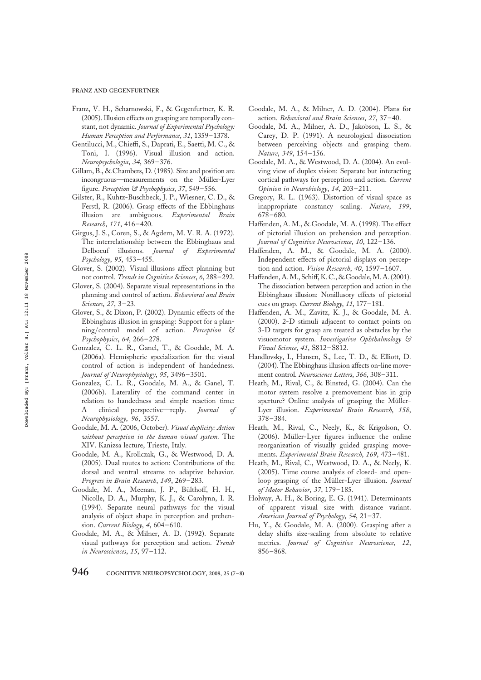FRANZ AND GEGENFURTNER

- Franz, V. H., Scharnowski, F., & Gegenfurtner, K. R. (2005).Illusion effects on grasping are temporally constant, not dynamic. Journal of Experimental Psychology: Human Perception and Performance, 31, 1359–1378.
- Gentilucci, M., Chieffi, S., Daprati, E., Saetti, M. C., & Toni, I. (1996). Visual illusion and action. Neuropsychologia, 34, 369–376.
- Gillam, B., & Chambers, D. (1985). Size and position are incongruous—measurements on the Müller-Lyer figure. Perception & Psychophysics, 37, 549-556.
- Gilster, R., Kuhtz-Buschbeck, J. P., Wiesner, C. D., & Ferstl, R. (2006). Grasp effects of the Ebbinghaus illusion are ambiguous. Experimental Brain Research, 171, 416–420.
- Girgus, J. S., Coren, S., & Agdern, M. V. R. A. (1972). The interrelationship between the Ebbinghaus and Delboeuf illusions. Journal of Experimental Psychology, 95, 453–455.
- Glover, S. (2002). Visual illusions affect planning but not control. Trends in Cognitive Sciences, 6, 288–292.
- Glover, S. (2004). Separate visual representations in the planning and control of action. Behavioral and Brain Sciences, 27, 3–23.
- Glover, S., & Dixon, P. (2002). Dynamic effects of the Ebbinghaus illusion in grasping: Support for a planning/control model of action. Perception & Psychophysics, 64, 266–278.
- Gonzalez, C. L. R., Ganel, T., & Goodale, M. A. (2006a). Hemispheric specialization for the visual control of action is independent of handedness. Journal of Neurophysiology, 95, 3496-3501.
- Gonzalez, C. L. R., Goodale, M. A., & Ganel, T. (2006b). Laterality of the command center in relation to handedness and simple reaction time: A clinical perspective—reply. *Journal of* Neurophysiology, 96, 3557.
- Goodale, M. A. (2006, October). Visual duplicity: Action without perception in the human visual system. The XIV. Kanizsa lecture, Trieste, Italy.
- Goodale, M. A., Kroliczak, G., & Westwood, D. A. (2005). Dual routes to action: Contributions of the dorsal and ventral streams to adaptive behavior. Progress in Brain Research, 149, 269–283.
- Goodale, M. A., Meenan, J. P., Bülthoff, H. H., Nicolle, D. A., Murphy, K. J., & Carolynn, I. R. (1994). Separate neural pathways for the visual analysis of object shape in perception and prehension. Current Biology, 4, 604-610.
- Goodale, M. A., & Milner, A. D. (1992). Separate visual pathways for perception and action. Trends in Neurosciences, 15, 97–112.
- Goodale, M. A., & Milner, A. D. (2004). Plans for action. Behavioral and Brain Sciences, 27, 37–40.
- Goodale, M. A., Milner, A. D., Jakobson, L. S., & Carey, D. P. (1991). A neurological dissociation between perceiving objects and grasping them. Nature, 349, 154–156.
- Goodale, M. A., & Westwood, D. A. (2004). An evolving view of duplex vision: Separate but interacting cortical pathways for perception and action. Current Opinion in Neurobiology, 14, 203–211.
- Gregory, R. L. (1963). Distortion of visual space as inappropriate constancy scaling. Nature, 199, 678–680.
- Haffenden, A. M., & Goodale, M. A. (1998). The effect of pictorial illusion on prehension and perception. Journal of Cognitive Neuroscience, 10, 122–136.
- Haffenden, A. M., & Goodale, M. A. (2000). Independent effects of pictorial displays on perception and action. Vision Research, 40, 1597-1607.
- Haffenden,A.M., Schiff, K.C., & Goodale,M. A.(2001). The dissociation between perception and action in the Ebbinghaus illusion: Nonillusory effects of pictorial cues on grasp. Current Biology, 11, 177–181.
- Haffenden, A. M., Zavitz, K. J., & Goodale, M. A. (2000). 2-D stimuli adjacent to contact points on 3-D targets for grasp are treated as obstacles by the visuomotor system. Investigative Ophthalmology & Visual Science, 41, S812–S812.
- Handlovsky, I., Hansen, S., Lee, T. D., & Elliott, D. (2004). The Ebbinghaus illusion affects on-line movement control. Neuroscience Letters, 366, 308–311.
- Heath, M., Rival, C., & Binsted, G. (2004). Can the motor system resolve a premovement bias in grip aperture? Online analysis of grasping the Müller-Lyer illusion. Experimental Brain Research, 158, 378–384.
- Heath, M., Rival, C., Neely, K., & Krigolson, O. (2006). Müller-Lyer figures influence the online reorganization of visually guided grasping movements. Experimental Brain Research, 169, 473–481.
- Heath, M., Rival, C., Westwood, D. A., & Neely, K. (2005). Time course analysis of closed- and openloop grasping of the Müller-Lyer illusion. Journal of Motor Behavior, 37, 179–185.
- Holway, A. H., & Boring, E. G. (1941). Determinants of apparent visual size with distance variant. American Journal of Psychology, 54, 21–37.
- Hu, Y., & Goodale, M. A. (2000). Grasping after a delay shifts size-scaling from absolute to relative metrics. Journal of Cognitive Neuroscience, 12, 856–868.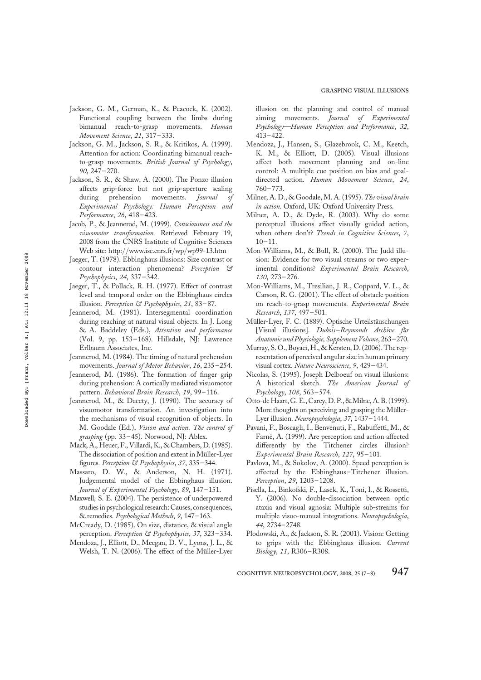- Jackson, G. M., German, K., & Peacock, K. (2002). Functional coupling between the limbs during bimanual reach-to-grasp movements. Human Movement Science, 21, 317–333.
- Jackson, G. M., Jackson, S. R., & Kritikos, A. (1999). Attention for action: Coordinating bimanual reachto-grasp movements. British Journal of Psychology, 90, 247–270.
- Jackson, S. R., & Shaw, A. (2000). The Ponzo illusion affects grip-force but not grip-aperture scaling during prehension movements. Journal of Experimental Psychology: Human Perception and Performance, 26, 418–423.
- Jacob, P., & Jeannerod, M. (1999). Consciousness and the visuomotor transformation. Retrieved February 19, 2008 from the CNRS Institute of Cognitive Sciences Web site: http://www.isc.cnrs.fr/wp/wp99-13.htm
- Jaeger, T. (1978). Ebbinghaus illusions: Size contrast or contour interaction phenomena? Perception & Psychophysics, 24, 337–342.
- Jaeger, T., & Pollack, R. H. (1977). Effect of contrast level and temporal order on the Ebbinghaus circles illusion. Perception & Psychophysics, 21, 83-87.
- Jeannerod, M. (1981). Intersegmental coordination during reaching at natural visual objects. In J. Long & A. Baddeley (Eds.), Attention and performance (Vol. 9, pp. 153–168). Hillsdale, NJ: Lawrence Erlbaum Associates, Inc.
- Jeannerod, M. (1984). The timing of natural prehension movements. Journal of Motor Behavior, 16, 235–254.
- Jeannerod, M. (1986). The formation of finger grip during prehension: A cortically mediated visuomotor pattern. Behavioral Brain Research, 19, 99–116.
- Jeannerod, M., & Decety, J. (1990). The accuracy of visuomotor transformation. An investigation into the mechanisms of visual recognition of objects. In M. Goodale (Ed.), Vision and action. The control of grasping (pp. 33–45). Norwood, NJ: Ablex.
- Mack, A., Heuer, F., Villardi, K., & Chambers, D.(1985). The dissociation of position and extent in Müller-Lyer figures. Perception & Psychophysics, 37, 335-344.
- Massaro, D. W., & Anderson, N. H. (1971). Judgemental model of the Ebbinghaus illusion. Journal of Experimental Psychology, 89, 147–151.
- Maxwell, S. E. (2004). The persistence of underpowered studies in psychological research: Causes, consequences, & remedies. Psychological Methods, 9, 147–163.
- McCready, D. (1985). On size, distance, & visual angle perception. Perception & Psychophysics, 37, 323-334.
- Mendoza, J., Elliott, D., Meegan, D. V., Lyons, J. L., & Welsh, T. N. (2006). The effect of the Müller-Lyer

illusion on the planning and control of manual aiming movements. Journal of Experimental Psychology—Human Perception and Performance, 32, 413–422.

- Mendoza, J., Hansen, S., Glazebrook, C. M., Keetch, K. M., & Elliott, D. (2005). Visual illusions affect both movement planning and on-line control: A multiple cue position on bias and goaldirected action. Human Movement Science, 24, 760–773.
- Milner, A. D., & Goodale, M. A. (1995). The visual brain in action. Oxford, UK: Oxford University Press.
- Milner, A. D., & Dyde, R. (2003). Why do some perceptual illusions affect visually guided action, when others don't? Trends in Cognitive Sciences, 7,  $10 - 11.$
- Mon-Williams, M., & Bull, R. (2000). The Judd illusion: Evidence for two visual streams or two experimental conditions? Experimental Brain Research, 130, 273–276.
- Mon-Williams, M., Tresilian, J. R., Coppard, V. L., & Carson, R. G. (2001). The effect of obstacle position on reach-to-grasp movements. Experimental Brain Research, 137, 497–501.
- Müller-Lyer, F. C. (1889). Optische Urteilstäuschungen [Visual illusions]. Dubois-Reymonds Archive für Anatomie und Physiologie, Supplement Volume, 263-270.
- Murray, S. O.,Boyaci, H., & Kersten, D.(2006).The representation of perceived angular size in human primary visual cortex. Nature Neuroscience, 9, 429–434.
- Nicolas, S. (1995). Joseph Delboeuf on visual illusions: A historical sketch. The American Journal of Psychology, 108, 563–574.
- Otto-deHaart, G.E.,Carey, D.P.,&Milne, A.B.(1999). More thoughts on perceiving and grasping the Müller-Lyer illusion. Neuropsychologia, 37, 1437–1444.
- Pavani, F., Boscagli, I., Benvenuti, F., Rabuffetti, M., & Farnè, A. (1999). Are perception and action affected differently by the Titchener circles illusion? Experimental Brain Research, 127, 95–101.
- Pavlova, M., & Sokolov, A. (2000). Speed perception is affected by the Ebbinghaus–Titchener illusion. Perception, 29, 1203–1208.
- Pisella, L., Binkofski, F., Lasek, K., Toni, I., & Rossetti, Y. (2006). No double-dissociation between optic ataxia and visual agnosia: Multiple sub-streams for multiple visuo-manual integrations. Neuropsychologia, 44, 2734–2748.
- Plodowski, A., & Jackson, S. R. (2001). Vision: Getting to grips with the Ebbinghaus illusion. Current Biology, 11, R306–R308.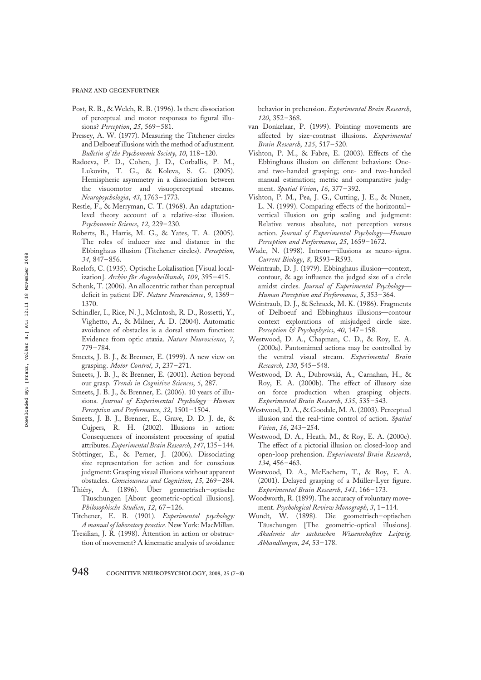#### FRANZ AND GEGENFURTNER

- Post, R. B., & Welch, R. B. (1996). Is there dissociation of perceptual and motor responses to figural illusions? Perception, 25, 569-581.
- Pressey, A. W. (1977). Measuring the Titchener circles and Delboeuf illusions with the method of adjustment. Bulletin of the Psychonomic Society, 10, 118–120.
- Radoeva, P. D., Cohen, J. D., Corballis, P. M., Lukovits, T. G., & Koleva, S. G. (2005). Hemispheric asymmetry in a dissociation between the visuomotor and visuoperceptual streams. Neuropsychologia, 43, 1763–1773.
- Restle, F., & Merryman, C. T. (1968). An adaptationlevel theory account of a relative-size illusion. Psychonomic Science, 12, 229–230.
- Roberts, B., Harris, M. G., & Yates, T. A. (2005). The roles of inducer size and distance in the Ebbinghaus illusion (Titchener circles). Perception, 34, 847–856.
- Roelofs, C. (1935). Optische Lokalisation [Visual localization]. Archiv für Augenheilkunde, 109, 395-415.
- Schenk, T. (2006). An allocentric rather than perceptual deficit in patient DF. Nature Neuroscience, 9, 1369-1370.
- Schindler, I., Rice, N. J., McIntosh, R. D., Rossetti, Y., Vighetto, A., & Milner, A. D. (2004). Automatic avoidance of obstacles is a dorsal stream function: Evidence from optic ataxia. Nature Neuroscience, 7, 779–784.
- Smeets, J. B. J., & Brenner, E. (1999). A new view on grasping. Motor Control, 3, 237–271.
- Smeets, J. B. J., & Brenner, E. (2001). Action beyond our grasp. Trends in Cognitive Sciences, 5, 287.
- Smeets, J. B. J., & Brenner, E. (2006). 10 years of illusions. Journal of Experimental Psychology-Human Perception and Performance, 32, 1501–1504.
- Smeets, J. B. J., Brenner, E., Grave, D. D. J. de, & Cujpers, R. H. (2002). Illusions in action: Consequences of inconsistent processing of spatial attributes. Experimental Brain Research, 147, 135–144.
- Stöttinger, E., & Perner, J. (2006). Dissociating size representation for action and for conscious judgment: Grasping visual illusions without apparent obstacles. Consciousness and Cognition, 15, 269–284.
- Thiéry, A. (1896). Über geometrisch-optische Täuschungen [About geometric-optical illusions]. Philosophische Studien, 12, 67–126.
- Titchener, E. B. (1901). Experimental psychology: A manual of laboratory practice. New York: MacMillan.
- Tresilian, J. R. (1998). Attention in action or obstruction of movement? A kinematic analysis of avoidance

behavior in prehension. Experimental Brain Research, 120, 352–368.

- van Donkelaar, P. (1999). Pointing movements are affected by size-contrast illusions. Experimental Brain Research, 125, 517–520.
- Vishton, P. M., & Fabre, E. (2003). Effects of the Ebbinghaus illusion on different behaviors: Oneand two-handed grasping; one- and two-handed manual estimation; metric and comparative judgment. Spatial Vision, 16, 377–392.
- Vishton, P. M., Pea, J. G., Cutting, J. E., & Nunez, L. N. (1999). Comparing effects of the horizontal– vertical illusion on grip scaling and judgment: Relative versus absolute, not perception versus action. Journal of Experimental Psychology—Human Perception and Performance, 25, 1659–1672.
- Wade, N. (1998). Introns—illusions as neuro-signs. Current Biology, 8, R593–R593.
- Weintraub, D. J. (1979). Ebbinghaus illusion—context, contour, & age influence the judged size of a circle amidst circles. Journal of Experimental Psychology— Human Perception and Performance, 5, 353–364.
- Weintraub, D. J., & Schneck, M. K. (1986). Fragments of Delboeuf and Ebbinghaus illusions—contour context explorations of misjudged circle size. Perception & Psychophysics, 40, 147-158.
- Westwood, D. A., Chapman, C. D., & Roy, E. A. (2000a). Pantomimed actions may be controlled by the ventral visual stream. Experimental Brain Research, 130, 545–548.
- Westwood, D. A., Dubrowski, A., Carnahan, H., & Roy, E. A. (2000b). The effect of illusory size on force production when grasping objects. Experimental Brain Research, 135, 535–543.
- Westwood, D. A., & Goodale, M. A. (2003). Perceptual illusion and the real-time control of action. Spatial Vision, 16, 243–254.
- Westwood, D. A., Heath, M., & Roy, E. A. (2000c). The effect of a pictorial illusion on closed-loop and open-loop prehension. Experimental Brain Research, 134, 456–463.
- Westwood, D. A., McEachern, T., & Roy, E. A. (2001). Delayed grasping of a Müller-Lyer figure. Experimental Brain Research, 141, 166–173.
- Woodworth, R. (1899). The accuracy of voluntary movement. Psychological Review Monograph, 3, 1–114.
- Wundt, W. (1898). Die geometrisch–optischen Täuschungen [The geometric-optical illusions]. Akademie der sächsischen Wissenschaften Leipzig, Abhandlungen, 24, 53–178.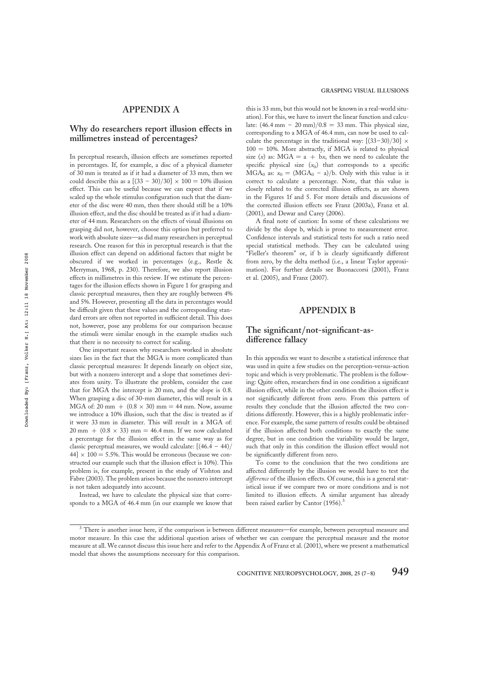## Why do researchers report illusion effects in millimetres instead of percentages?

In perceptual research, illusion effects are sometimes reported in percentages. If, for example, a disc of a physical diameter of 30 mm is treated as if it had a diameter of 33 mm, then we could describe this as a  $[(33 - 30)/30] \times 100 = 10\%$  illusion effect. This can be useful because we can expect that if we scaled up the whole stimulus configuration such that the diameter of the disc were 40 mm, then there should still be a 10% illusion effect, and the disc should be treated as if it had a diameter of 44 mm. Researchers on the effects of visual illusions on grasping did not, however, choose this option but preferred to work with absolute sizes—as did many researchers in perceptual research. One reason for this in perceptual research is that the illusion effect can depend on additional factors that might be obscured if we worked in percentages (e.g., Restle & Merryman, 1968, p. 230). Therefore, we also report illusion effects in millimetres in this review. If we estimate the percentages for the illusion effects shown in Figure 1 for grasping and classic perceptual measures, then they are roughly between 4% and 5%. However, presenting all the data in percentages would be difficult given that these values and the corresponding standard errors are often not reported in sufficient detail. This does not, however, pose any problems for our comparison because the stimuli were similar enough in the example studies such that there is no necessity to correct for scaling.

One important reason why researchers worked in absolute sizes lies in the fact that the MGA is more complicated than classic perceptual measures: It depends linearly on object size, but with a nonzero intercept and a slope that sometimes deviates from unity. To illustrate the problem, consider the case that for MGA the intercept is 20 mm, and the slope is 0.8. When grasping a disc of 30-mm diameter, this will result in a MGA of: 20 mm  $+$  (0.8  $\times$  30) mm = 44 mm. Now, assume we introduce a 10% illusion, such that the disc is treated as if it were 33 mm in diameter. This will result in a MGA of:  $20 \text{ mm} + (0.8 \times 33) \text{ mm} = 46.4 \text{ mm}$ . If we now calculated a percentage for the illusion effect in the same way as for classic perceptual measures, we would calculate:  $[(46.4 - 44)/$  $44$ ]  $\times$  100 = 5.5%. This would be erroneous (because we constructed our example such that the illusion effect is 10%). This problem is, for example, present in the study of Vishton and Fabre (2003). The problem arises because the nonzero intercept is not taken adequately into account.

Instead, we have to calculate the physical size that corresponds to a MGA of 46.4 mm (in our example we know that

this is 33 mm, but this would not be known in a real-world situation). For this, we have to invert the linear function and calculate:  $(46.4 \text{ mm} - 20 \text{ mm})/0.8 = 33 \text{ mm}$ . This physical size, corresponding to a MGA of 46.4 mm, can now be used to calculate the percentage in the traditional way:  $[(33-30)/30] \times$  $100 = 10\%$ . More abstractly, if MGA is related to physical size (x) as:  $MGA = a + bx$ , then we need to calculate the specific physical size  $(x_0)$  that corresponds to a specific  $MGA_0$  as:  $x_0 = (MGA_0 - a)/b$ . Only with this value is it correct to calculate a percentage. Note, that this value is closely related to the corrected illusion effects, as are shown in the Figures 1f and 5. For more details and discussions of the corrected illusion effects see Franz (2003a), Franz et al. (2001), and Dewar and Carey (2006).

A final note of caution: In some of these calculations we divide by the slope b, which is prone to measurement error. Confidence intervals and statistical tests for such a ratio need special statistical methods. They can be calculated using "Fieller's theorem" or, if b is clearly significantly different from zero, by the delta method (i.e., a linear Taylor approximation). For further details see Buonaccorsi (2001), Franz et al. (2005), and Franz (2007).

#### APPENDIX B

## The significant/not-significant-asdifference fallacy

In this appendix we want to describe a statistical inference that was used in quite a few studies on the perception-versus-action topic and which is very problematic. The problem is the following: Quite often, researchers find in one condition a significant illusion effect, while in the other condition the illusion effect is not significantly different from zero. From this pattern of results they conclude that the illusion affected the two conditions differently. However, this is a highly problematic inference. For example, the same pattern of results could be obtained if the illusion affected both conditions to exactly the same degree, but in one condition the variability would be larger, such that only in this condition the illusion effect would not be significantly different from zero.

To come to the conclusion that the two conditions are affected differently by the illusion we would have to test the difference of the illusion effects. Of course, this is a general statistical issue if we compare two or more conditions and is not limited to illusion effects. A similar argument has already been raised earlier by Cantor (1956).<sup>3</sup>

<sup>&</sup>lt;sup>3</sup> There is another issue here, if the comparison is between different measures—for example, between perceptual measure and motor measure. In this case the additional question arises of whether we can compare the perceptual measure and the motor measure at all. We cannot discuss this issue here and refer to the Appendix A of Franz et al. (2001), where we present a mathematical model that shows the assumptions necessary for this comparison.